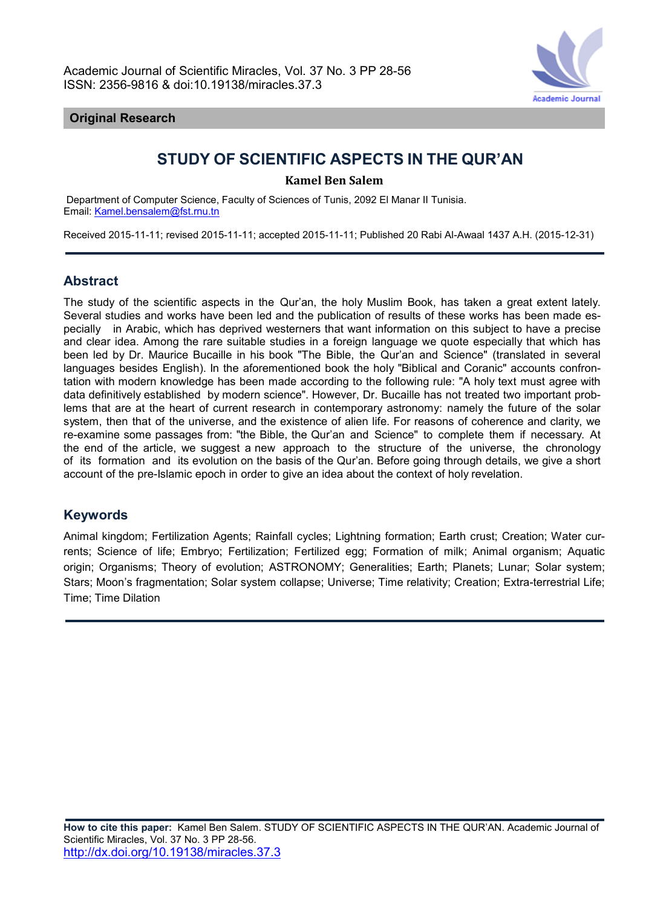

# **Original Research**

# **STUDY OF SCIENTIFIC ASPECTS IN THE QUR'AN**

### **Kamel Ben Salem**

Department of Computer Science, Faculty of Sciences of Tunis, 2092 El Manar II Tunisia. Email: [Kamel.bensalem@fst.rnu.tn](mailto:Kamel.bensalem@fst.rnu.tn)

Received 2015-11-11; revised 2015-11-11; accepted 2015-11-11; Published 20 Rabi Al-Awaal 1437 A.H. (2015-12-31)

# **Abstract**

The study of the scientific aspects in the Qur'an, the holy Muslim Book, has taken a great extent lately. Several studies and works have been led and the publication of results of these works has been made especially in Arabic, which has deprived westerners that want information on this subject to have a precise and clear idea. Among the rare suitable studies in a foreign language we quote especially that which has been led by Dr. Maurice Bucaille in his book "The Bible, the Qur'an and Science" (translated in several languages besides English). In the aforementioned book the holy "Biblical and Coranic" accounts confrontation with modern knowledge has been made according to the following rule: "A holy text must agree with data definitively established by modern science". However, Dr. Bucaille has not treated two important problems that are at the heart of current research in contemporary astronomy: namely the future of the solar system, then that of the universe, and the existence of alien life. For reasons of coherence and clarity, we re-examine some passages from: "the Bible, the Qur'an and Science" to complete them if necessary. At the end of the article, we suggest a new approach to the structure of the universe, the chronology of its formation and its evolution on the basis of the Qur'an. Before going through details, we give a short account of the pre-Islamic epoch in order to give an idea about the context of holy revelation.

# **Keywords**

Animal kingdom; Fertilization Agents; Rainfall cycles; Lightning formation; Earth crust; Creation; Water currents; Science of life; Embryo; Fertilization; Fertilized egg; Formation of milk; Animal organism; Aquatic origin; Organisms; Theory of evolution; ASTRONOMY; Generalities; Earth; Planets; Lunar; Solar system; Stars; Moon's fragmentation; Solar system collapse; Universe; Time relativity; Creation; Extra-terrestrial Life; Time; Time Dilation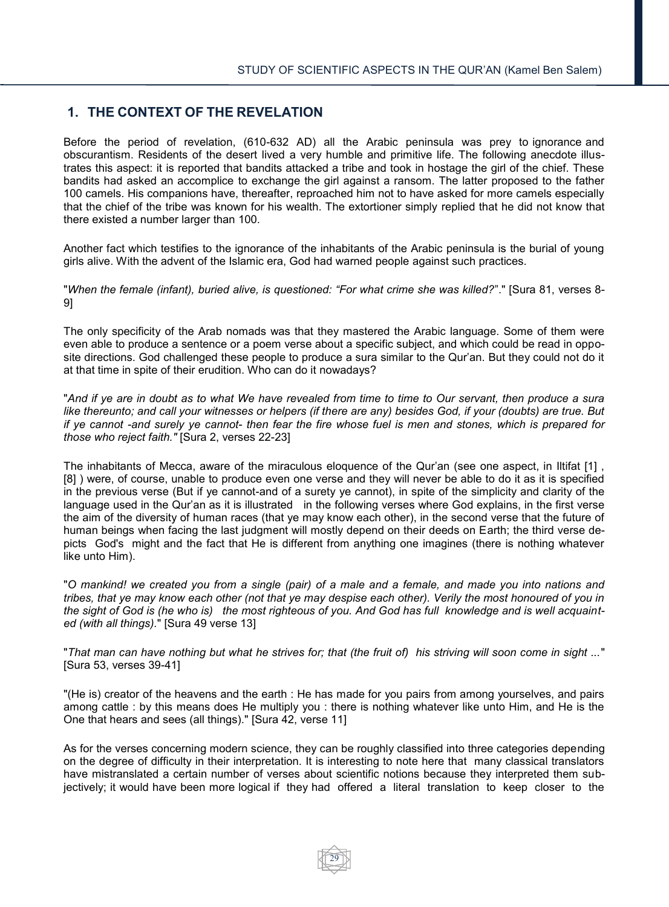# **1. THE CONTEXT OF THE REVELATION**

Before the period of revelation, (610-632 AD) all the Arabic peninsula was prey to ignorance and obscurantism. Residents of the desert lived a very humble and primitive life. The following anecdote illustrates this aspect: it is reported that bandits attacked a tribe and took in hostage the girl of the chief. These bandits had asked an accomplice to exchange the girl against a ransom. The latter proposed to the father 100 camels. His companions have, thereafter, reproached him not to have asked for more camels especially that the chief of the tribe was known for his wealth. The extortioner simply replied that he did not know that there existed a number larger than 100.

Another fact which testifies to the ignorance of the inhabitants of the Arabic peninsula is the burial of young girls alive. With the advent of the Islamic era, God had warned people against such practices.

"*When the female (infant), buried alive, is questioned: "For what crime she was killed?*"." [Sura 81, verses 8- 9]

The only specificity of the Arab nomads was that they mastered the Arabic language. Some of them were even able to produce a sentence or a poem verse about a specific subject, and which could be read in opposite directions. God challenged these people to produce a sura similar to the Qur'an. But they could not do it at that time in spite of their erudition. Who can do it nowadays?

"*And if ye are in doubt as to what We have revealed from time to time to Our servant, then produce a sura like thereunto; and call your witnesses or helpers (if there are any) besides God, if your (doubts) are true. But if ye cannot -and surely ye cannot- then fear the fire whose fuel is men and stones, which is prepared for those who reject faith."* [Sura 2, verses 22-23]

The inhabitants of Mecca, aware of the miraculous eloquence of the Qur'an (see one aspect, in Iltifat [1] , [8] ) were, of course, unable to produce even one verse and they will never be able to do it as it is specified in the previous verse (But if ye cannot-and of a surety ye cannot), in spite of the simplicity and clarity of the language used in the Qur'an as it is illustrated in the following verses where God explains, in the first verse the aim of the diversity of human races (that ye may know each other), in the second verse that the future of human beings when facing the last judgment will mostly depend on their deeds on Earth; the third verse depicts God's might and the fact that He is different from anything one imagines (there is nothing whatever like unto Him).

"*O mankind! we created you from a single (pair) of a male and a female, and made you into nations and tribes, that ye may know each other (not that ye may despise each other). Verily the most honoured of you in the sight of God is (he who is) the most righteous of you. And God has full knowledge and is well acquainted (with all things).*" [Sura 49 verse 13]

"*That man can have nothing but what he strives for; that (the fruit of) his striving will soon come in sight ...*" [Sura 53, verses 39-41]

"(He is) creator of the heavens and the earth : He has made for you pairs from among yourselves, and pairs among cattle : by this means does He multiply you : there is nothing whatever like unto Him, and He is the One that hears and sees (all things)." [Sura 42, verse 11]

As for the verses concerning modern science, they can be roughly classified into three categories depending on the degree of difficulty in their interpretation. It is interesting to note here that many classical translators have mistranslated a certain number of verses about scientific notions because they interpreted them subjectively; it would have been more logical if they had offered a literal translation to keep closer to the

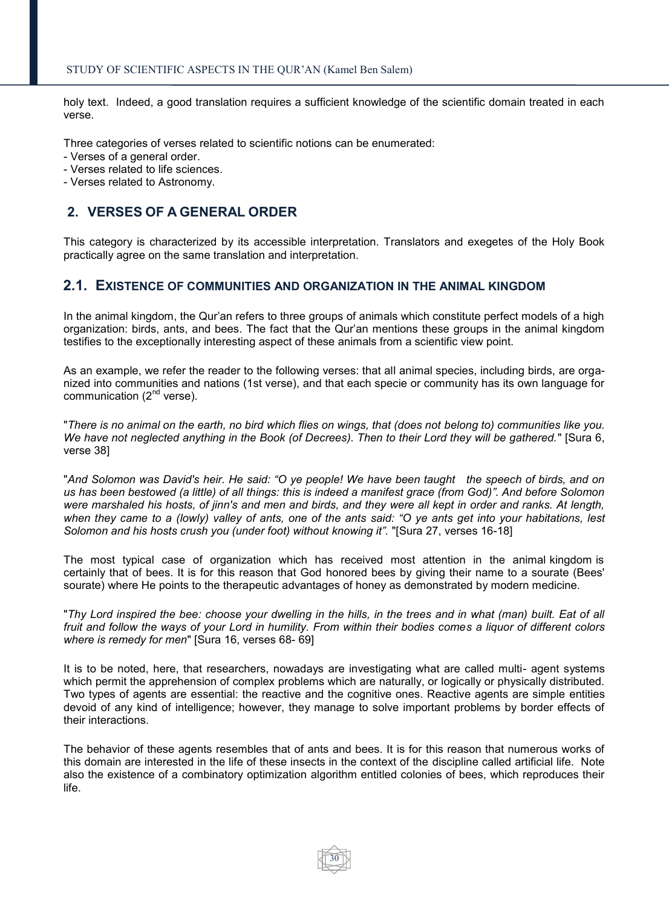holy text. Indeed, a good translation requires a sufficient knowledge of the scientific domain treated in each verse.

Three categories of verses related to scientific notions can be enumerated:

- Verses of a general order.
- Verses related to life sciences.
- Verses related to Astronomy.

# **2. VERSES OF A GENERAL ORDER**

This category is characterized by its accessible interpretation. Translators and exegetes of the Holy Book practically agree on the same translation and interpretation.

# **2.1. EXISTENCE OF COMMUNITIES AND ORGANIZATION IN THE ANIMAL KINGDOM**

In the animal kingdom, the Qur'an refers to three groups of animals which constitute perfect models of a high organization: birds, ants, and bees. The fact that the Qur'an mentions these groups in the animal kingdom testifies to the exceptionally interesting aspect of these animals from a scientific view point.

As an example, we refer the reader to the following verses: that all animal species, including birds, are organized into communities and nations (1st verse), and that each specie or community has its own language for communication  $(2^{nd}$  verse).

"*There is no animal on the earth, no bird which flies on wings, that (does not belong to) communities like you. We have not neglected anything in the Book (of Decrees). Then to their Lord they will be gathered.*" [Sura 6, verse 38]

"*And Solomon was David's heir. He said: "O ye people! We have been taught the speech of birds, and on us has been bestowed (a little) of all things: this is indeed a manifest grace (from God)". And before Solomon were marshaled his hosts, of jinn's and men and birds, and they were all kept in order and ranks. At length, when they came to a (lowly) valley of ants, one of the ants said: "O ye ants get into your habitations, lest Solomon and his hosts crush you (under foot) without knowing it".* "[Sura 27, verses 16-18]

The most typical case of organization which has received most attention in the animal kingdom is certainly that of bees. It is for this reason that God honored bees by giving their name to a sourate (Bees' sourate) where He points to the therapeutic advantages of honey as demonstrated by modern medicine.

"*Thy Lord inspired the bee: choose your dwelling in the hills, in the trees and in what (man) built. Eat of all fruit and follow the ways of your Lord in humility. From within their bodies comes a liquor of different colors where is remedy for men*" [Sura 16, verses 68- 69]

It is to be noted, here, that researchers, nowadays are investigating what are called multi- agent systems which permit the apprehension of complex problems which are naturally, or logically or physically distributed. Two types of agents are essential: the reactive and the cognitive ones. Reactive agents are simple entities devoid of any kind of intelligence; however, they manage to solve important problems by border effects of their interactions.

The behavior of these agents resembles that of ants and bees. It is for this reason that numerous works of this domain are interested in the life of these insects in the context of the discipline called artificial life. Note also the existence of a combinatory optimization algorithm entitled colonies of bees, which reproduces their life.

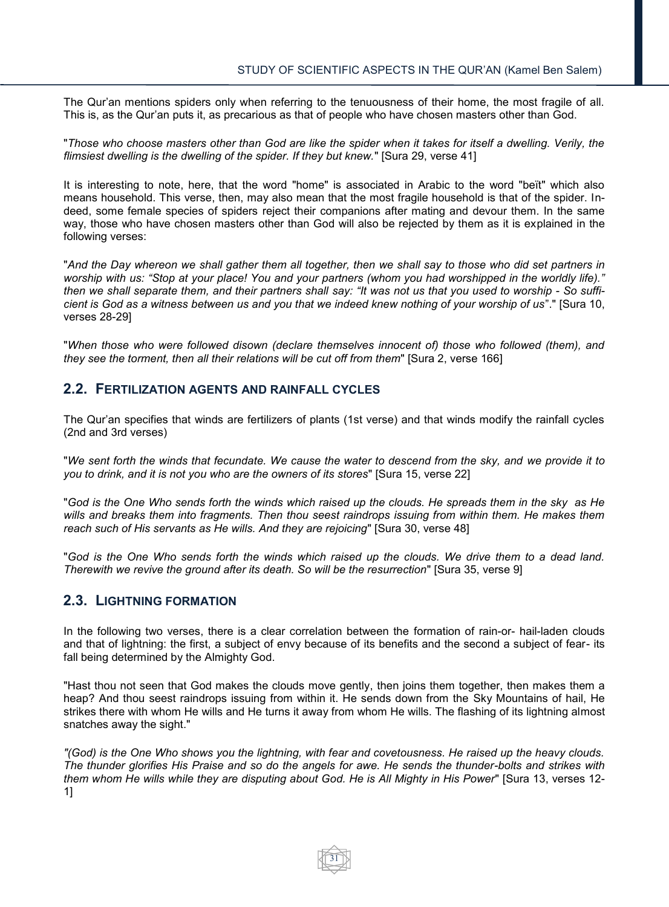The Qur'an mentions spiders only when referring to the tenuousness of their home, the most fragile of all. This is, as the Qur'an puts it, as precarious as that of people who have chosen masters other than God.

"*Those who choose masters other than God are like the spider when it takes for itself a dwelling. Verily, the flimsiest dwelling is the dwelling of the spider. If they but knew.*" [Sura 29, verse 41]

It is interesting to note, here, that the word "home" is associated in Arabic to the word "beït" which also means household. This verse, then, may also mean that the most fragile household is that of the spider. Indeed, some female species of spiders reject their companions after mating and devour them. In the same way, those who have chosen masters other than God will also be rejected by them as it is explained in the following verses:

"*And the Day whereon we shall gather them all together, then we shall say to those who did set partners in worship with us: "Stop at your place! You and your partners (whom you had worshipped in the worldly life)." then we shall separate them, and their partners shall say: "It was not us that you used to worship - So sufficient is God as a witness between us and you that we indeed knew nothing of your worship of us*"." [Sura 10, verses 28-29]

"*When those who were followed disown (declare themselves innocent of) those who followed (them), and they see the torment, then all their relations will be cut off from them*" [Sura 2, verse 166]

### **2.2. FERTILIZATION AGENTS AND RAINFALL CYCLES**

The Qur'an specifies that winds are fertilizers of plants (1st verse) and that winds modify the rainfall cycles (2nd and 3rd verses)

"*We sent forth the winds that fecundate. We cause the water to descend from the sky, and we provide it to you to drink, and it is not you who are the owners of its stores*" [Sura 15, verse 22]

"*God is the One Who sends forth the winds which raised up the clouds. He spreads them in the sky as He wills and breaks them into fragments. Then thou seest raindrops issuing from within them. He makes them reach such of His servants as He wills. And they are rejoicing*" [Sura 30, verse 48]

"*God is the One Who sends forth the winds which raised up the clouds. We drive them to a dead land. Therewith we revive the ground after its death. So will be the resurrection*" [Sura 35, verse 9]

# **2.3. LIGHTNING FORMATION**

In the following two verses, there is a clear correlation between the formation of rain-or- hail-laden clouds and that of lightning: the first, a subject of envy because of its benefits and the second a subject of fear- its fall being determined by the Almighty God.

"Hast thou not seen that God makes the clouds move gently, then joins them together, then makes them a heap? And thou seest raindrops issuing from within it. He sends down from the Sky Mountains of hail, He strikes there with whom He wills and He turns it away from whom He wills. The flashing of its lightning almost snatches away the sight."

*"(God) is the One Who shows you the lightning, with fear and covetousness. He raised up the heavy clouds. The thunder glorifies His Praise and so do the angels for awe. He sends the thunder-bolts and strikes with them whom He wills while they are disputing about God. He is All Mighty in His Power*" [Sura 13, verses 12- 1]

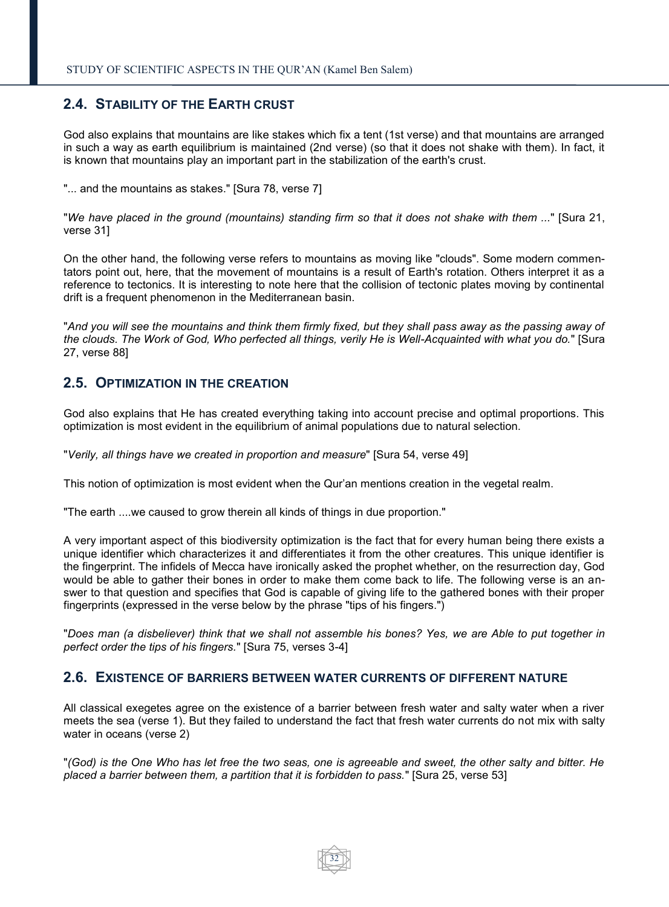# **2.4. STABILITY OF THE EARTH CRUST**

God also explains that mountains are like stakes which fix a tent (1st verse) and that mountains are arranged in such a way as earth equilibrium is maintained (2nd verse) (so that it does not shake with them). In fact, it is known that mountains play an important part in the stabilization of the earth's crust.

"... and the mountains as stakes." [Sura 78, verse 7]

"*We have placed in the ground (mountains) standing firm so that it does not shake with them ...*" [Sura 21, verse 31]

On the other hand, the following verse refers to mountains as moving like "clouds". Some modern commentators point out, here, that the movement of mountains is a result of Earth's rotation. Others interpret it as a reference to tectonics. It is interesting to note here that the collision of tectonic plates moving by continental drift is a frequent phenomenon in the Mediterranean basin.

"*And you will see the mountains and think them firmly fixed, but they shall pass away as the passing away of the clouds. The Work of God, Who perfected all things, verily He is Well-Acquainted with what you do.*" [Sura 27, verse 88]

# **2.5. OPTIMIZATION IN THE CREATION**

God also explains that He has created everything taking into account precise and optimal proportions. This optimization is most evident in the equilibrium of animal populations due to natural selection.

"*Verily, all things have we created in proportion and measure*" [Sura 54, verse 49]

This notion of optimization is most evident when the Qur'an mentions creation in the vegetal realm.

"The earth ....we caused to grow therein all kinds of things in due proportion."

A very important aspect of this biodiversity optimization is the fact that for every human being there exists a unique identifier which characterizes it and differentiates it from the other creatures. This unique identifier is the fingerprint. The infidels of Mecca have ironically asked the prophet whether, on the resurrection day, God would be able to gather their bones in order to make them come back to life. The following verse is an answer to that question and specifies that God is capable of giving life to the gathered bones with their proper fingerprints (expressed in the verse below by the phrase "tips of his fingers.")

"*Does man (a disbeliever) think that we shall not assemble his bones? Yes, we are Able to put together in perfect order the tips of his fingers.*" [Sura 75, verses 3-4]

# **2.6. EXISTENCE OF BARRIERS BETWEEN WATER CURRENTS OF DIFFERENT NATURE**

All classical exegetes agree on the existence of a barrier between fresh water and salty water when a river meets the sea (verse 1). But they failed to understand the fact that fresh water currents do not mix with salty water in oceans (verse 2)

"*(God) is the One Who has let free the two seas, one is agreeable and sweet, the other salty and bitter. He placed a barrier between them, a partition that it is forbidden to pass.*" [Sura 25, verse 53]

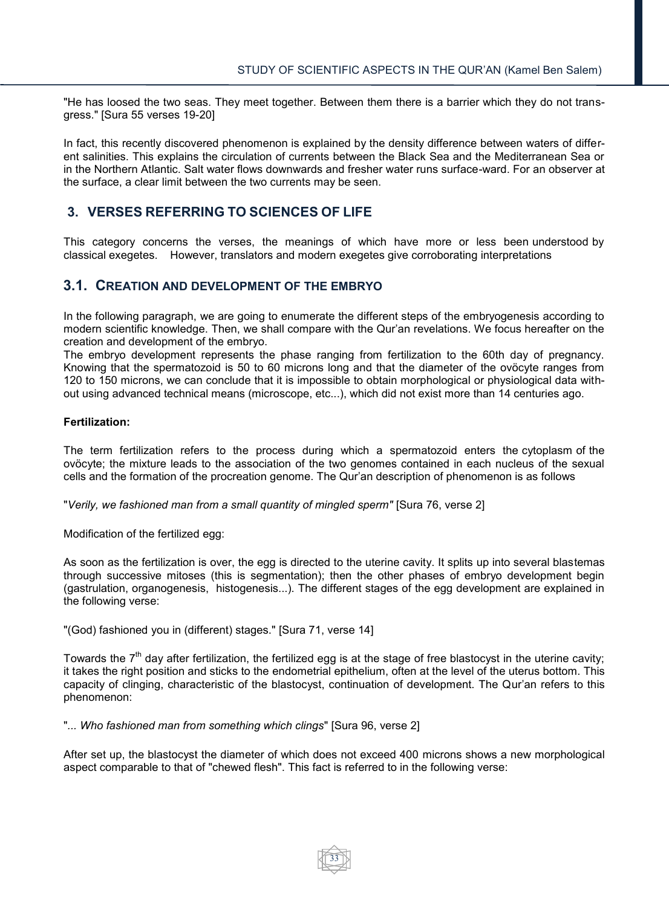"He has loosed the two seas. They meet together. Between them there is a barrier which they do not transgress." [Sura 55 verses 19-20]

In fact, this recently discovered phenomenon is explained by the density difference between waters of different salinities. This explains the circulation of currents between the Black Sea and the Mediterranean Sea or in the Northern Atlantic. Salt water flows downwards and fresher water runs surface-ward. For an observer at the surface, a clear limit between the two currents may be seen.

# **3. VERSES REFERRING TO SCIENCES OF LIFE**

This category concerns the verses, the meanings of which have more or less been understood by classical exegetes. However, translators and modern exegetes give corroborating interpretations

# **3.1. CREATION AND DEVELOPMENT OF THE EMBRYO**

In the following paragraph, we are going to enumerate the different steps of the embryogenesis according to modern scientific knowledge. Then, we shall compare with the Qur'an revelations. We focus hereafter on the creation and development of the embryo.

The embryo development represents the phase ranging from fertilization to the 60th day of pregnancy. Knowing that the spermatozoid is 50 to 60 microns long and that the diameter of the ovöcyte ranges from 120 to 150 microns, we can conclude that it is impossible to obtain morphological or physiological data without using advanced technical means (microscope, etc...), which did not exist more than 14 centuries ago.

### **Fertilization:**

The term fertilization refers to the process during which a spermatozoid enters the cytoplasm of the ovöcyte; the mixture leads to the association of the two genomes contained in each nucleus of the sexual cells and the formation of the procreation genome. The Qur'an description of phenomenon is as follows

"*Verily, we fashioned man from a small quantity of mingled sperm"* [Sura 76, verse 2]

Modification of the fertilized egg:

As soon as the fertilization is over, the egg is directed to the uterine cavity. It splits up into several blastemas through successive mitoses (this is segmentation); then the other phases of embryo development begin (gastrulation, organogenesis, histogenesis...). The different stages of the egg development are explained in the following verse:

"(God) fashioned you in (different) stages." [Sura 71, verse 14]

Towards the  $7<sup>th</sup>$  day after fertilization, the fertilized egg is at the stage of free blastocyst in the uterine cavity; it takes the right position and sticks to the endometrial epithelium, often at the level of the uterus bottom. This capacity of clinging, characteristic of the blastocyst, continuation of development. The Qur'an refers to this phenomenon:

"*... Who fashioned man from something which clings*" [Sura 96, verse 2]

After set up, the blastocyst the diameter of which does not exceed 400 microns shows a new morphological aspect comparable to that of "chewed flesh". This fact is referred to in the following verse:

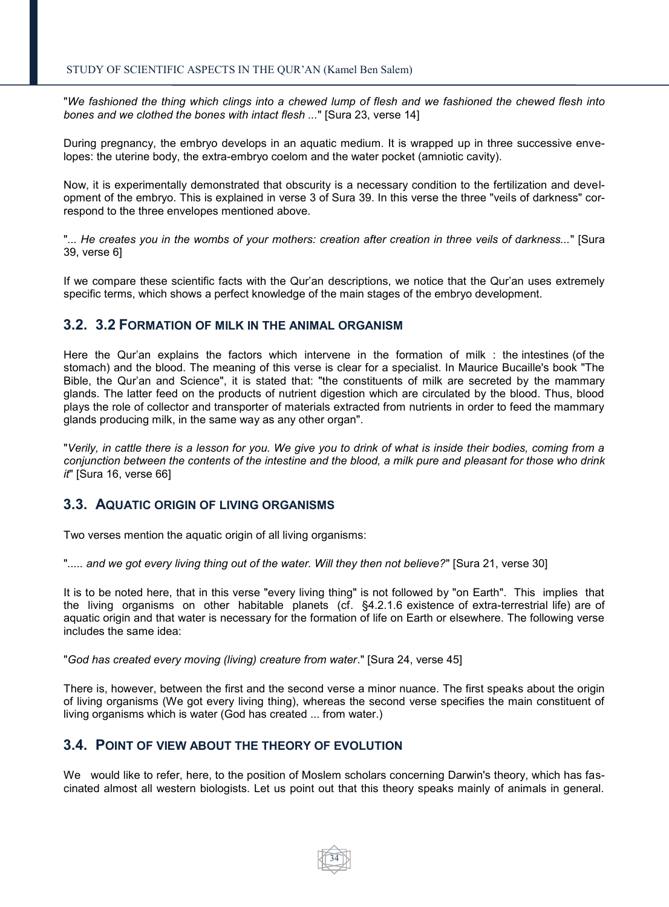"*We fashioned the thing which clings into a chewed lump of flesh and we fashioned the chewed flesh into bones and we clothed the bones with intact flesh ...*" [Sura 23, verse 14]

During pregnancy, the embryo develops in an aquatic medium. It is wrapped up in three successive envelopes: the uterine body, the extra-embryo coelom and the water pocket (amniotic cavity).

Now, it is experimentally demonstrated that obscurity is a necessary condition to the fertilization and development of the embryo. This is explained in verse 3 of Sura 39. In this verse the three "veils of darkness" correspond to the three envelopes mentioned above.

"*... He creates you in the wombs of your mothers: creation after creation in three veils of darkness...*" [Sura 39, verse 6]

If we compare these scientific facts with the Qur'an descriptions, we notice that the Qur'an uses extremely specific terms, which shows a perfect knowledge of the main stages of the embryo development.

# **3.2. 3.2 FORMATION OF MILK IN THE ANIMAL ORGANISM**

Here the Qur'an explains the factors which intervene in the formation of milk : the intestines (of the stomach) and the blood. The meaning of this verse is clear for a specialist. In Maurice Bucaille's book "The Bible, the Qur'an and Science", it is stated that: "the constituents of milk are secreted by the mammary glands. The latter feed on the products of nutrient digestion which are circulated by the blood. Thus, blood plays the role of collector and transporter of materials extracted from nutrients in order to feed the mammary glands producing milk, in the same way as any other organ".

"*Verily, in cattle there is a lesson for you. We give you to drink of what is inside their bodies, coming from a conjunction between the contents of the intestine and the blood, a milk pure and pleasant for those who drink it*" [Sura 16, verse 66]

# **3.3. AQUATIC ORIGIN OF LIVING ORGANISMS**

Two verses mention the aquatic origin of all living organisms:

"*..... and we got every living thing out of the water. Will they then not believe?*" [Sura 21, verse 30]

It is to be noted here, that in this verse "every living thing" is not followed by "on Earth". This implies that the living organisms on other habitable planets (cf. §4.2.1.6 existence of extra-terrestrial life) are of aquatic origin and that water is necessary for the formation of life on Earth or elsewhere. The following verse includes the same idea:

"*God has created every moving (living) creature from water*." [Sura 24, verse 45]

There is, however, between the first and the second verse a minor nuance. The first speaks about the origin of living organisms (We got every living thing), whereas the second verse specifies the main constituent of living organisms which is water (God has created ... from water.)

# **3.4. POINT OF VIEW ABOUT THE THEORY OF EVOLUTION**

We would like to refer, here, to the position of Moslem scholars concerning Darwin's theory, which has fascinated almost all western biologists. Let us point out that this theory speaks mainly of animals in general.

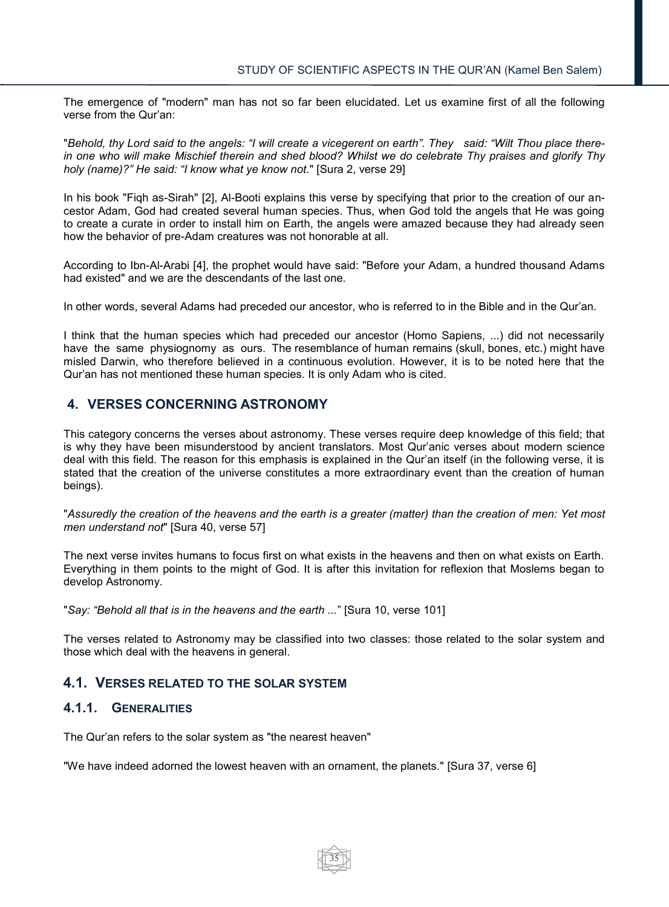The emergence of "modern" man has not so far been elucidated. Let us examine first of all the following verse from the Qur'an:

"*Behold, thy Lord said to the angels: "I will create a vicegerent on earth". They said: "Wilt Thou place therein one who will make Mischief therein and shed blood? Whilst we do celebrate Thy praises and glorify Thy holy (name)?" He said: "I know what ye know not*." [Sura 2, verse 29]

In his book "Fiqh as-Sirah" [2], Al-Booti explains this verse by specifying that prior to the creation of our ancestor Adam, God had created several human species. Thus, when God told the angels that He was going to create a curate in order to install him on Earth, the angels were amazed because they had already seen how the behavior of pre-Adam creatures was not honorable at all.

According to Ibn-Al-Arabi [4], the prophet would have said: "Before your Adam, a hundred thousand Adams had existed" and we are the descendants of the last one.

In other words, several Adams had preceded our ancestor, who is referred to in the Bible and in the Qur'an.

I think that the human species which had preceded our ancestor (Homo Sapiens, ...) did not necessarily have the same physiognomy as ours. The resemblance of human remains (skull, bones, etc.) might have misled Darwin, who therefore believed in a continuous evolution. However, it is to be noted here that the Qur'an has not mentioned these human species. It is only Adam who is cited.

# **4. VERSES CONCERNING ASTRONOMY**

This category concerns the verses about astronomy. These verses require deep knowledge of this field; that is why they have been misunderstood by ancient translators. Most Qur'anic verses about modern science deal with this field. The reason for this emphasis is explained in the Qur'an itself (in the following verse, it is stated that the creation of the universe constitutes a more extraordinary event than the creation of human beings).

"*Assuredly the creation of the heavens and the earth is a greater (matter) than the creation of men: Yet most men understand not*" [Sura 40, verse 57]

The next verse invites humans to focus first on what exists in the heavens and then on what exists on Earth. Everything in them points to the might of God. It is after this invitation for reflexion that Moslems began to develop Astronomy.

"*Say: "Behold all that is in the heavens and the earth ...*" [Sura 10, verse 101]

The verses related to Astronomy may be classified into two classes: those related to the solar system and those which deal with the heavens in general.

35

# **4.1. VERSES RELATED TO THE SOLAR SYSTEM**

# **4.1.1. GENERALITIES**

The Qur'an refers to the solar system as "the nearest heaven"

"We have indeed adorned the lowest heaven with an ornament, the planets." [Sura 37, verse 6]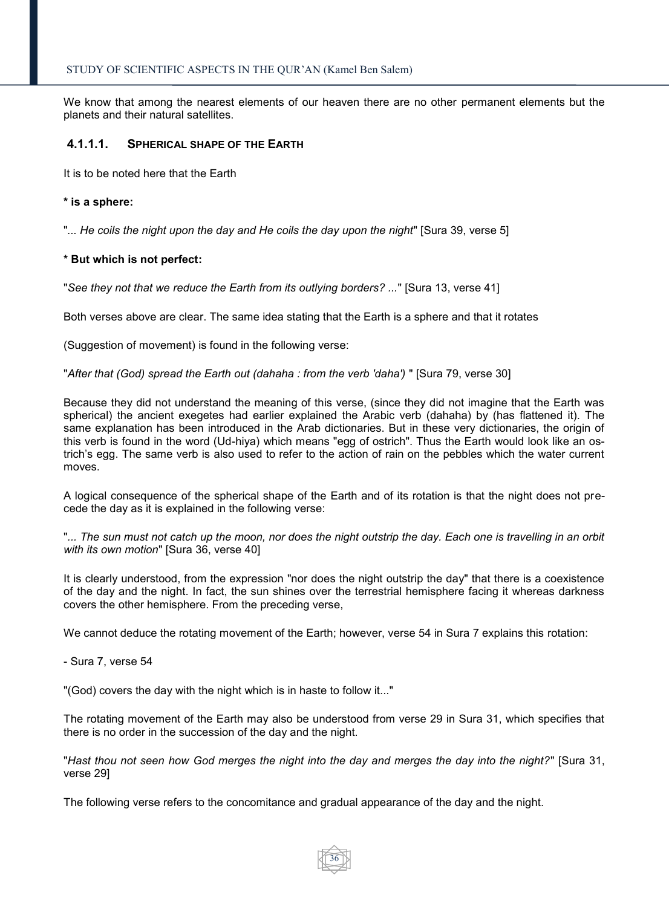We know that among the nearest elements of our heaven there are no other permanent elements but the planets and their natural satellites.

### **4.1.1.1. SPHERICAL SHAPE OF THE EARTH**

It is to be noted here that the Earth

#### **\* is a sphere:**

"*... He coils the night upon the day and He coils the day upon the night*" [Sura 39, verse 5]

#### **\* But which is not perfect:**

"*See they not that we reduce the Earth from its outlying borders? ...*" [Sura 13, verse 41]

Both verses above are clear. The same idea stating that the Earth is a sphere and that it rotates

(Suggestion of movement) is found in the following verse:

"*After that (God) spread the Earth out (dahaha : from the verb 'daha')* " [Sura 79, verse 30]

Because they did not understand the meaning of this verse, (since they did not imagine that the Earth was spherical) the ancient exegetes had earlier explained the Arabic verb (dahaha) by (has flattened it). The same explanation has been introduced in the Arab dictionaries. But in these very dictionaries, the origin of this verb is found in the word (Ud-hiya) which means "egg of ostrich". Thus the Earth would look like an ostrich's egg. The same verb is also used to refer to the action of rain on the pebbles which the water current moves.

A logical consequence of the spherical shape of the Earth and of its rotation is that the night does not precede the day as it is explained in the following verse:

"... The sun must not catch up the moon, nor does the night outstrip the day. Each one is travelling in an orbit *with its own motion*" [Sura 36, verse 40]

It is clearly understood, from the expression "nor does the night outstrip the day" that there is a coexistence of the day and the night. In fact, the sun shines over the terrestrial hemisphere facing it whereas darkness covers the other hemisphere. From the preceding verse,

We cannot deduce the rotating movement of the Earth; however, verse 54 in Sura 7 explains this rotation:

- Sura 7, verse 54

"(God) covers the day with the night which is in haste to follow it..."

The rotating movement of the Earth may also be understood from verse 29 in Sura 31, which specifies that there is no order in the succession of the day and the night.

"*Hast thou not seen how God merges the night into the day and merges the day into the night?*" [Sura 31, verse 29]

The following verse refers to the concomitance and gradual appearance of the day and the night.

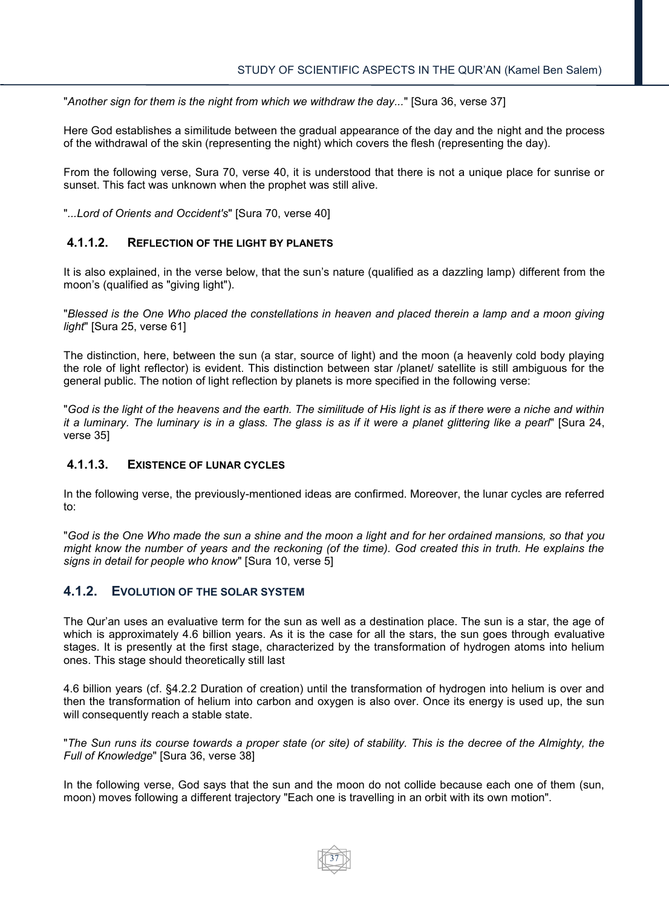"*Another sign for them is the night from which we withdraw the day...*" [Sura 36, verse 37]

Here God establishes a similitude between the gradual appearance of the day and the night and the process of the withdrawal of the skin (representing the night) which covers the flesh (representing the day).

From the following verse, Sura 70, verse 40, it is understood that there is not a unique place for sunrise or sunset. This fact was unknown when the prophet was still alive.

"*...Lord of Orients and Occident's*" [Sura 70, verse 40]

### **4.1.1.2. REFLECTION OF THE LIGHT BY PLANETS**

It is also explained, in the verse below, that the sun's nature (qualified as a dazzling lamp) different from the moon's (qualified as "giving light").

"*Blessed is the One Who placed the constellations in heaven and placed therein a lamp and a moon giving light*" [Sura 25, verse 61]

The distinction, here, between the sun (a star, source of light) and the moon (a heavenly cold body playing the role of light reflector) is evident. This distinction between star /planet/ satellite is still ambiguous for the general public. The notion of light reflection by planets is more specified in the following verse:

"*God is the light of the heavens and the earth. The similitude of His light is as if there were a niche and within it a luminary. The luminary is in a glass. The glass is as if it were a planet glittering like a pearl*" [Sura 24, verse 35]

### **4.1.1.3. EXISTENCE OF LUNAR CYCLES**

In the following verse, the previously-mentioned ideas are confirmed. Moreover, the lunar cycles are referred to:

"*God is the One Who made the sun a shine and the moon a light and for her ordained mansions, so that you might know the number of years and the reckoning (of the time). God created this in truth. He explains the signs in detail for people who know*" [Sura 10, verse 5]

### **4.1.2. EVOLUTION OF THE SOLAR SYSTEM**

The Qur'an uses an evaluative term for the sun as well as a destination place. The sun is a star, the age of which is approximately 4.6 billion years. As it is the case for all the stars, the sun goes through evaluative stages. It is presently at the first stage, characterized by the transformation of hydrogen atoms into helium ones. This stage should theoretically still last

4.6 billion years (cf. §4.2.2 Duration of creation) until the transformation of hydrogen into helium is over and then the transformation of helium into carbon and oxygen is also over. Once its energy is used up, the sun will consequently reach a stable state.

"*The Sun runs its course towards a proper state (or site) of stability. This is the decree of the Almighty, the Full of Knowledge*" [Sura 36, verse 38]

In the following verse, God says that the sun and the moon do not collide because each one of them (sun, moon) moves following a different trajectory "Each one is travelling in an orbit with its own motion".

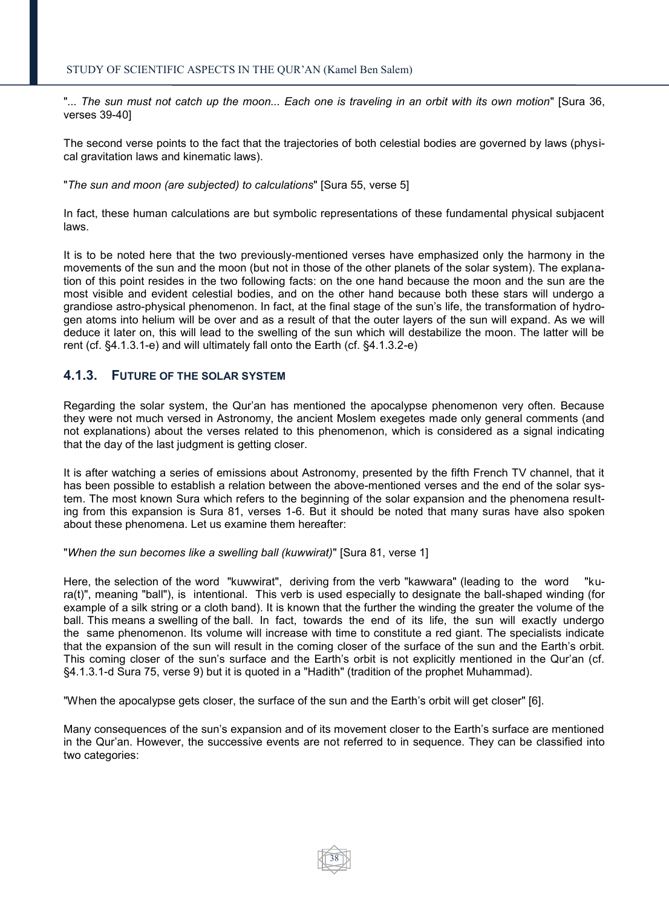"*... The sun must not catch up the moon... Each one is traveling in an orbit with its own motion*" [Sura 36, verses 39-40]

The second verse points to the fact that the trajectories of both celestial bodies are governed by laws (physical gravitation laws and kinematic laws).

"*The sun and moon (are subjected) to calculations*" [Sura 55, verse 5]

In fact, these human calculations are but symbolic representations of these fundamental physical subjacent laws.

It is to be noted here that the two previously-mentioned verses have emphasized only the harmony in the movements of the sun and the moon (but not in those of the other planets of the solar system). The explanation of this point resides in the two following facts: on the one hand because the moon and the sun are the most visible and evident celestial bodies, and on the other hand because both these stars will undergo a grandiose astro-physical phenomenon. In fact, at the final stage of the sun's life, the transformation of hydrogen atoms into helium will be over and as a result of that the outer layers of the sun will expand. As we will deduce it later on, this will lead to the swelling of the sun which will destabilize the moon. The latter will be rent (cf. §4.1.3.1-e) and will ultimately fall onto the Earth (cf. §4.1.3.2-e)

# **4.1.3. FUTURE OF THE SOLAR SYSTEM**

Regarding the solar system, the Qur'an has mentioned the apocalypse phenomenon very often. Because they were not much versed in Astronomy, the ancient Moslem exegetes made only general comments (and not explanations) about the verses related to this phenomenon, which is considered as a signal indicating that the day of the last judgment is getting closer.

It is after watching a series of emissions about Astronomy, presented by the fifth French TV channel, that it has been possible to establish a relation between the above-mentioned verses and the end of the solar system. The most known Sura which refers to the beginning of the solar expansion and the phenomena resulting from this expansion is Sura 81, verses 1-6. But it should be noted that many suras have also spoken about these phenomena. Let us examine them hereafter:

"*When the sun becomes like a swelling ball (kuwwirat)*" [Sura 81, verse 1]

Here, the selection of the word "kuwwirat", deriving from the verb "kawwara" (leading to the word "kura(t)", meaning "ball"), is intentional. This verb is used especially to designate the ball-shaped winding (for example of a silk string or a cloth band). It is known that the further the winding the greater the volume of the ball. This means a swelling of the ball. In fact, towards the end of its life, the sun will exactly undergo the same phenomenon. Its volume will increase with time to constitute a red giant. The specialists indicate that the expansion of the sun will result in the coming closer of the surface of the sun and the Earth's orbit. This coming closer of the sun's surface and the Earth's orbit is not explicitly mentioned in the Qur'an (cf. §4.1.3.1-d Sura 75, verse 9) but it is quoted in a "Hadith" (tradition of the prophet Muhammad).

"When the apocalypse gets closer, the surface of the sun and the Earth's orbit will get closer" [6].

Many consequences of the sun's expansion and of its movement closer to the Earth's surface are mentioned in the Qur'an. However, the successive events are not referred to in sequence. They can be classified into two categories:

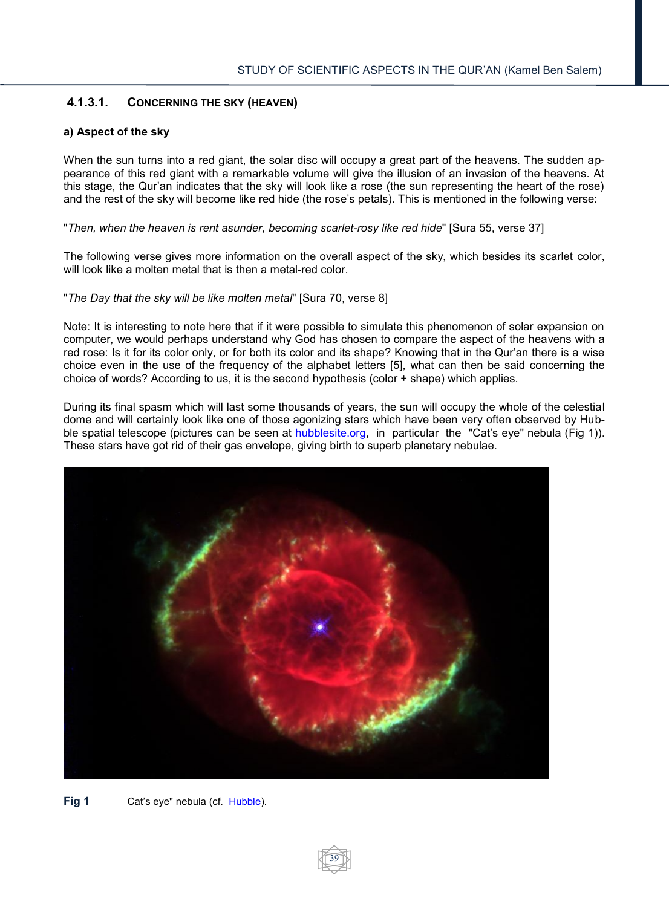# **4.1.3.1. CONCERNING THE SKY (HEAVEN)**

### **a) Aspect of the sky**

When the sun turns into a red giant, the solar disc will occupy a great part of the heavens. The sudden appearance of this red giant with a remarkable volume will give the illusion of an invasion of the heavens. At this stage, the Qur'an indicates that the sky will look like a rose (the sun representing the heart of the rose) and the rest of the sky will become like red hide (the rose's petals). This is mentioned in the following verse:

"*Then, when the heaven is rent asunder, becoming scarlet-rosy like red hide*" [Sura 55, verse 37]

The following verse gives more information on the overall aspect of the sky, which besides its scarlet color, will look like a molten metal that is then a metal-red color.

### "*The Day that the sky will be like molten metal*" [Sura 70, verse 8]

Note: It is interesting to note here that if it were possible to simulate this phenomenon of solar expansion on computer, we would perhaps understand why God has chosen to compare the aspect of the heavens with a red rose: Is it for its color only, or for both its color and its shape? Knowing that in the Qur'an there is a wise choice even in the use of the frequency of the alphabet letters [5], what can then be said concerning the choice of words? According to us, it is the second hypothesis (color + shape) which applies.

During its final spasm which will last some thousands of years, the sun will occupy the whole of the celestial dome and will certainly look like one of those agonizing stars which have been very often observed by Hubble spatial telescope (pictures can be seen at [hubblesite.org,](http://hubblesite.org/newscenter/archive/releases/nebula/planetary) in particular the "Cat's eye" nebula (Fig 1)). These stars have got rid of their gas envelope, giving birth to superb planetary nebulae.



Fig 1 Cat's eye" nebula (cf. [Hubble\)](http://imgsrc.hubblesite.org/hu/db/1995/01/images/a/formats/full_jpg.jpg).

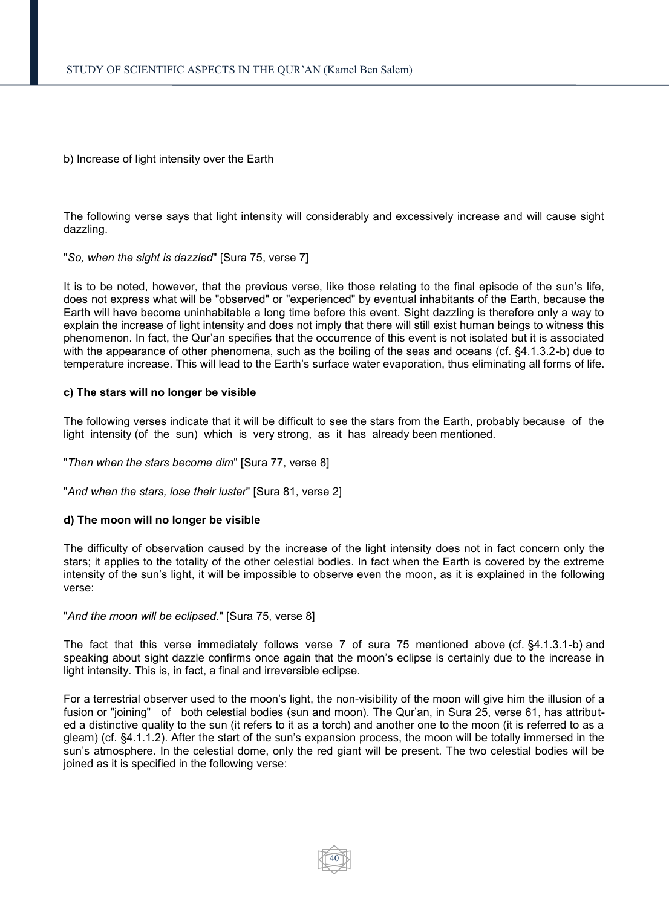### b) Increase of light intensity over the Earth

The following verse says that light intensity will considerably and excessively increase and will cause sight dazzling.

"*So, when the sight is dazzled*" [Sura 75, verse 7]

It is to be noted, however, that the previous verse, like those relating to the final episode of the sun's life, does not express what will be "observed" or "experienced" by eventual inhabitants of the Earth, because the Earth will have become uninhabitable a long time before this event. Sight dazzling is therefore only a way to explain the increase of light intensity and does not imply that there will still exist human beings to witness this phenomenon. In fact, the Qur'an specifies that the occurrence of this event is not isolated but it is associated with the appearance of other phenomena, such as the boiling of the seas and oceans (cf. §4.1.3.2-b) due to temperature increase. This will lead to the Earth's surface water evaporation, thus eliminating all forms of life.

### **c) The stars will no longer be visible**

The following verses indicate that it will be difficult to see the stars from the Earth, probably because of the light intensity (of the sun) which is very strong, as it has already been mentioned.

"*Then when the stars become dim*" [Sura 77, verse 8]

"*And when the stars, lose their luster*" [Sura 81, verse 2]

#### **d) The moon will no longer be visible**

The difficulty of observation caused by the increase of the light intensity does not in fact concern only the stars; it applies to the totality of the other celestial bodies. In fact when the Earth is covered by the extreme intensity of the sun's light, it will be impossible to observe even the moon, as it is explained in the following verse:

#### "*And the moon will be eclipsed*." [Sura 75, verse 8]

The fact that this verse immediately follows verse 7 of sura 75 mentioned above (cf. §4.1.3.1-b) and speaking about sight dazzle confirms once again that the moon's eclipse is certainly due to the increase in light intensity. This is, in fact, a final and irreversible eclipse.

For a terrestrial observer used to the moon's light, the non-visibility of the moon will give him the illusion of a fusion or "joining" of both celestial bodies (sun and moon). The Qur'an, in Sura 25, verse 61, has attributed a distinctive quality to the sun (it refers to it as a torch) and another one to the moon (it is referred to as a gleam) (cf. §4.1.1.2). After the start of the sun's expansion process, the moon will be totally immersed in the sun's atmosphere. In the celestial dome, only the red giant will be present. The two celestial bodies will be joined as it is specified in the following verse:

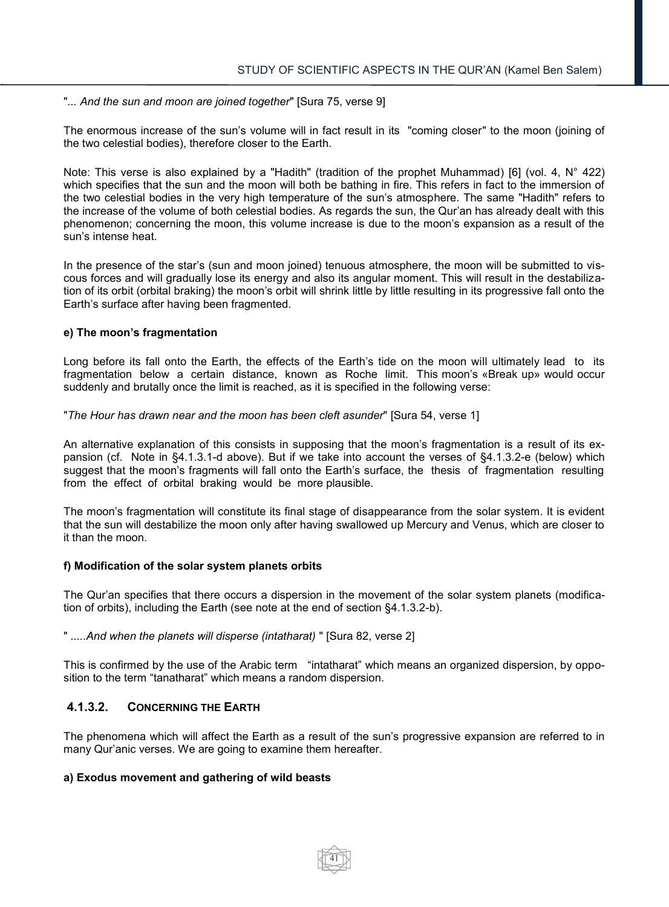"*... And the sun and moon are joined together*" [Sura 75, verse 9]

The enormous increase of the sun's volume will in fact result in its "coming closer" to the moon (joining of the two celestial bodies), therefore closer to the Earth.

Note: This verse is also explained by a "Hadith" (tradition of the prophet Muhammad) [6] (vol. 4, N° 422) which specifies that the sun and the moon will both be bathing in fire. This refers in fact to the immersion of the two celestial bodies in the very high temperature of the sun's atmosphere. The same "Hadith" refers to the increase of the volume of both celestial bodies. As regards the sun, the Qur'an has already dealt with this phenomenon; concerning the moon, this volume increase is due to the moon's expansion as a result of the sun's intense heat.

In the presence of the star's (sun and moon joined) tenuous atmosphere, the moon will be submitted to viscous forces and will gradually lose its energy and also its angular moment. This will result in the destabilization of its orbit (orbital braking) the moon's orbit will shrink little by little resulting in its progressive fall onto the Earth's surface after having been fragmented.

#### **e) The moon's fragmentation**

Long before its fall onto the Earth, the effects of the Earth's tide on the moon will ultimately lead to its fragmentation below a certain distance, known as Roche limit. This moon's «Break up» would occur suddenly and brutally once the limit is reached, as it is specified in the following verse:

"*The Hour has drawn near and the moon has been cleft asunder*" [Sura 54, verse 1]

An alternative explanation of this consists in supposing that the moon's fragmentation is a result of its expansion (cf. Note in §4.1.3.1-d above). But if we take into account the verses of §4.1.3.2-e (below) which suggest that the moon's fragments will fall onto the Earth's surface, the thesis of fragmentation resulting from the effect of orbital braking would be more plausible.

The moon's fragmentation will constitute its final stage of disappearance from the solar system. It is evident that the sun will destabilize the moon only after having swallowed up Mercury and Venus, which are closer to it than the moon.

### **f) Modification of the solar system planets orbits**

The Qur'an specifies that there occurs a dispersion in the movement of the solar system planets (modification of orbits), including the Earth (see note at the end of section §4.1.3.2-b).

" *.....And when the planets will disperse (intatharat)* " [Sura 82, verse 2]

This is confirmed by the use of the Arabic term "intatharat" which means an organized dispersion, by opposition to the term "tanatharat" which means a random dispersion.

# **4.1.3.2. CONCERNING THE EARTH**

The phenomena which will affect the Earth as a result of the sun's progressive expansion are referred to in many Qur'anic verses. We are going to examine them hereafter.

41

#### **a) Exodus movement and gathering of wild beasts**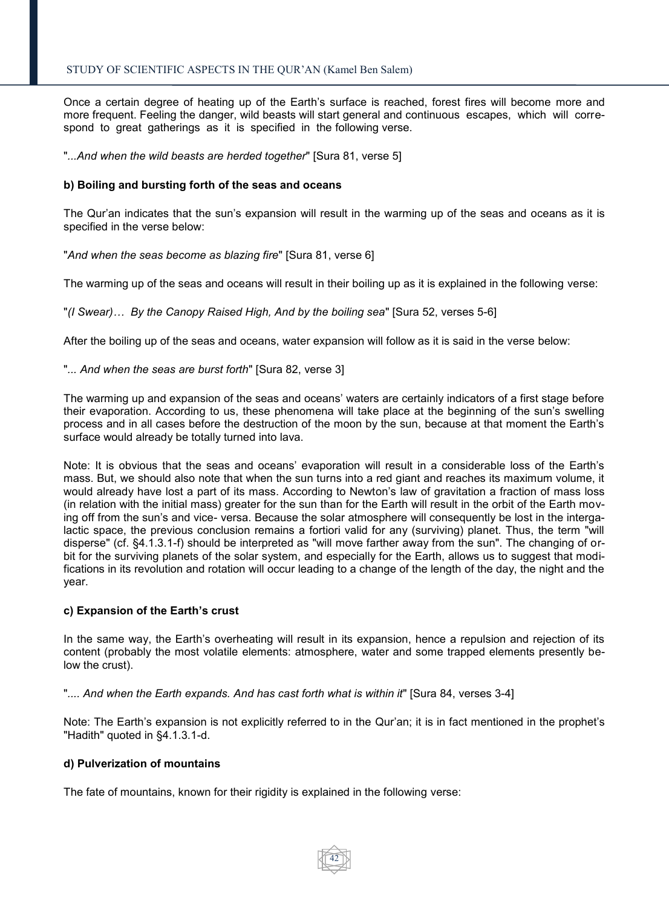Once a certain degree of heating up of the Earth's surface is reached, forest fires will become more and more frequent. Feeling the danger, wild beasts will start general and continuous escapes, which will correspond to great gatherings as it is specified in the following verse.

"*...And when the wild beasts are herded together*" [Sura 81, verse 5]

#### **b) Boiling and bursting forth of the seas and oceans**

The Qur'an indicates that the sun's expansion will result in the warming up of the seas and oceans as it is specified in the verse below:

"*And when the seas become as blazing fire*" [Sura 81, verse 6]

The warming up of the seas and oceans will result in their boiling up as it is explained in the following verse:

"*(I Swear)… By the Canopy Raised High, And by the boiling sea*" [Sura 52, verses 5-6]

After the boiling up of the seas and oceans, water expansion will follow as it is said in the verse below:

#### "*... And when the seas are burst forth*" [Sura 82, verse 3]

The warming up and expansion of the seas and oceans' waters are certainly indicators of a first stage before their evaporation. According to us, these phenomena will take place at the beginning of the sun's swelling process and in all cases before the destruction of the moon by the sun, because at that moment the Earth's surface would already be totally turned into lava.

Note: It is obvious that the seas and oceans' evaporation will result in a considerable loss of the Earth's mass. But, we should also note that when the sun turns into a red giant and reaches its maximum volume, it would already have lost a part of its mass. According to Newton's law of gravitation a fraction of mass loss (in relation with the initial mass) greater for the sun than for the Earth will result in the orbit of the Earth moving off from the sun's and vice- versa. Because the solar atmosphere will consequently be lost in the intergalactic space, the previous conclusion remains a fortiori valid for any (surviving) planet. Thus, the term "will disperse" (cf. §4.1.3.1-f) should be interpreted as "will move farther away from the sun". The changing of orbit for the surviving planets of the solar system, and especially for the Earth, allows us to suggest that modifications in its revolution and rotation will occur leading to a change of the length of the day, the night and the year.

### **c) Expansion of the Earth's crust**

In the same way, the Earth's overheating will result in its expansion, hence a repulsion and rejection of its content (probably the most volatile elements: atmosphere, water and some trapped elements presently below the crust).

"*.... And when the Earth expands. And has cast forth what is within it*" [Sura 84, verses 3-4]

Note: The Earth's expansion is not explicitly referred to in the Qur'an; it is in fact mentioned in the prophet's "Hadith" quoted in §4.1.3.1-d.

#### **d) Pulverization of mountains**

The fate of mountains, known for their rigidity is explained in the following verse: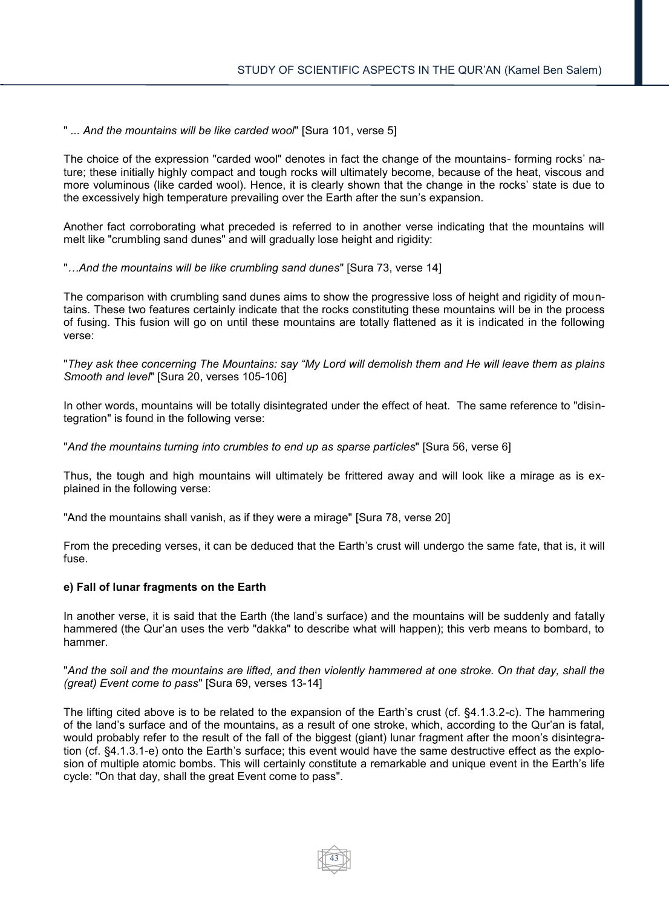### " *... And the mountains will be like carded wool*" [Sura 101, verse 5]

The choice of the expression "carded wool" denotes in fact the change of the mountains- forming rocks' nature; these initially highly compact and tough rocks will ultimately become, because of the heat, viscous and more voluminous (like carded wool). Hence, it is clearly shown that the change in the rocks' state is due to the excessively high temperature prevailing over the Earth after the sun's expansion.

Another fact corroborating what preceded is referred to in another verse indicating that the mountains will melt like "crumbling sand dunes" and will gradually lose height and rigidity:

"*…And the mountains will be like crumbling sand dunes*" [Sura 73, verse 14]

The comparison with crumbling sand dunes aims to show the progressive loss of height and rigidity of mountains. These two features certainly indicate that the rocks constituting these mountains will be in the process of fusing. This fusion will go on until these mountains are totally flattened as it is indicated in the following verse:

"*They ask thee concerning The Mountains: say "My Lord will demolish them and He will leave them as plains Smooth and level*" [Sura 20, verses 105-106]

In other words, mountains will be totally disintegrated under the effect of heat. The same reference to "disintegration" is found in the following verse:

"*And the mountains turning into crumbles to end up as sparse particles*" [Sura 56, verse 6]

Thus, the tough and high mountains will ultimately be frittered away and will look like a mirage as is explained in the following verse:

"And the mountains shall vanish, as if they were a mirage" [Sura 78, verse 20]

From the preceding verses, it can be deduced that the Earth's crust will undergo the same fate, that is, it will fuse.

### **e) Fall of lunar fragments on the Earth**

In another verse, it is said that the Earth (the land's surface) and the mountains will be suddenly and fatally hammered (the Qur'an uses the verb "dakka" to describe what will happen); this verb means to bombard, to hammer.

"*And the soil and the mountains are lifted, and then violently hammered at one stroke. On that day, shall the (great) Event come to pass*" [Sura 69, verses 13-14]

The lifting cited above is to be related to the expansion of the Earth's crust (cf. §4.1.3.2-c). The hammering of the land's surface and of the mountains, as a result of one stroke, which, according to the Qur'an is fatal, would probably refer to the result of the fall of the biggest (giant) lunar fragment after the moon's disintegration (cf. §4.1.3.1-e) onto the Earth's surface; this event would have the same destructive effect as the explosion of multiple atomic bombs. This will certainly constitute a remarkable and unique event in the Earth's life cycle: "On that day, shall the great Event come to pass".

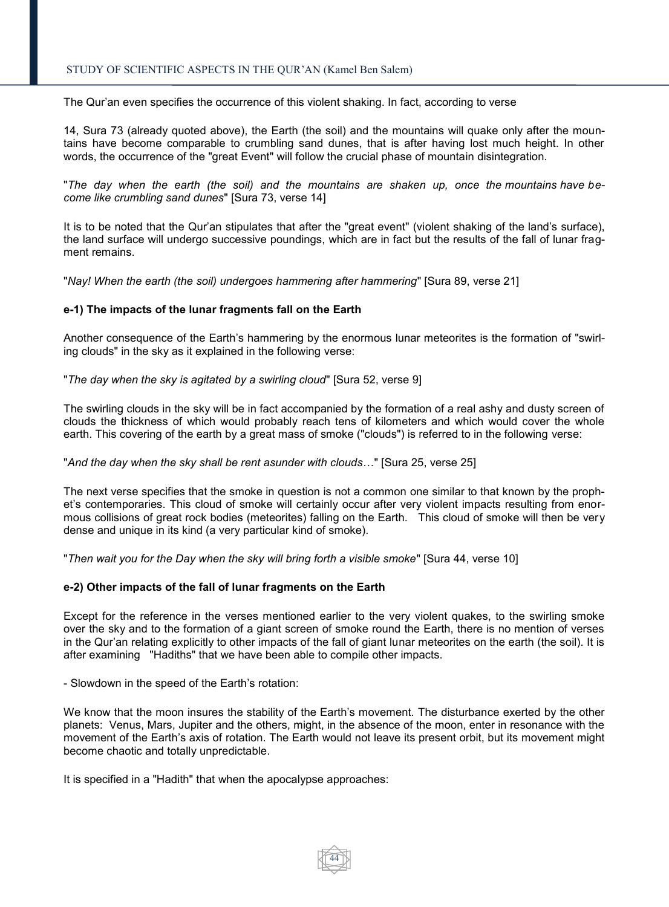The Qur'an even specifies the occurrence of this violent shaking. In fact, according to verse

14, Sura 73 (already quoted above), the Earth (the soil) and the mountains will quake only after the mountains have become comparable to crumbling sand dunes, that is after having lost much height. In other words, the occurrence of the "great Event" will follow the crucial phase of mountain disintegration.

"*The day when the earth (the soil) and the mountains are shaken up, once the mountains have become like crumbling sand dunes*" [Sura 73, verse 14]

It is to be noted that the Qur'an stipulates that after the "great event" (violent shaking of the land's surface), the land surface will undergo successive poundings, which are in fact but the results of the fall of lunar fragment remains.

"*Nay! When the earth (the soil) undergoes hammering after hammering*" [Sura 89, verse 21]

### **e-1) The impacts of the lunar fragments fall on the Earth**

Another consequence of the Earth's hammering by the enormous lunar meteorites is the formation of "swirling clouds" in the sky as it explained in the following verse:

"*The day when the sky is agitated by a swirling cloud*" [Sura 52, verse 9]

The swirling clouds in the sky will be in fact accompanied by the formation of a real ashy and dusty screen of clouds the thickness of which would probably reach tens of kilometers and which would cover the whole earth. This covering of the earth by a great mass of smoke ("clouds") is referred to in the following verse:

### "*And the day when the sky shall be rent asunder with clouds*…" [Sura 25, verse 25]

The next verse specifies that the smoke in question is not a common one similar to that known by the prophet's contemporaries. This cloud of smoke will certainly occur after very violent impacts resulting from enormous collisions of great rock bodies (meteorites) falling on the Earth. This cloud of smoke will then be very dense and unique in its kind (a very particular kind of smoke).

"*Then wait you for the Day when the sky will bring forth a visible smoke*" [Sura 44, verse 10]

### **e-2) Other impacts of the fall of lunar fragments on the Earth**

Except for the reference in the verses mentioned earlier to the very violent quakes, to the swirling smoke over the sky and to the formation of a giant screen of smoke round the Earth, there is no mention of verses in the Qur'an relating explicitly to other impacts of the fall of giant lunar meteorites on the earth (the soil). It is after examining "Hadiths" that we have been able to compile other impacts.

- Slowdown in the speed of the Earth's rotation:

We know that the moon insures the stability of the Earth's movement. The disturbance exerted by the other planets: Venus, Mars, Jupiter and the others, might, in the absence of the moon, enter in resonance with the movement of the Earth's axis of rotation. The Earth would not leave its present orbit, but its movement might become chaotic and totally unpredictable.

44

It is specified in a "Hadith" that when the apocalypse approaches: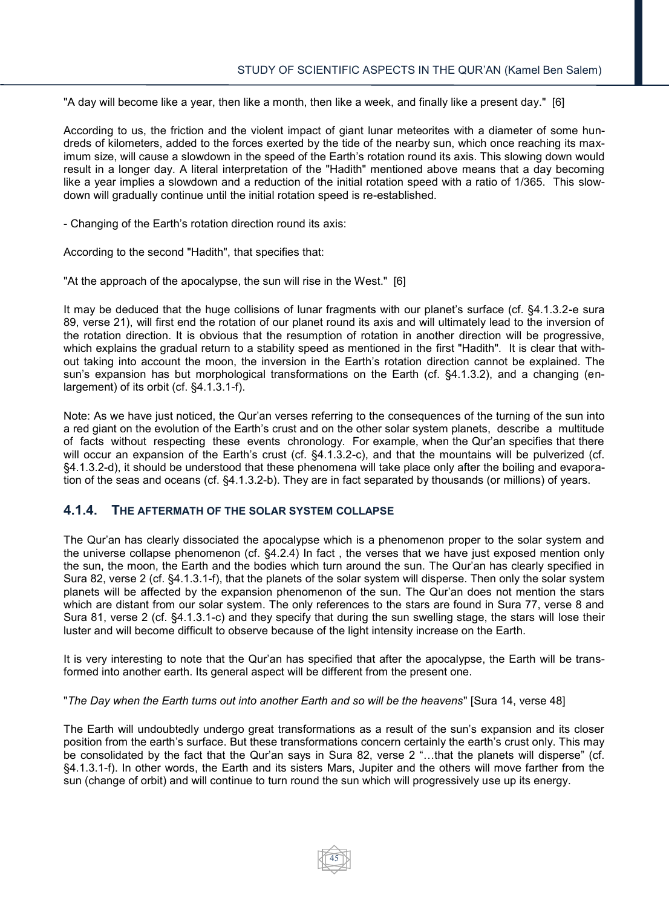"A day will become like a year, then like a month, then like a week, and finally like a present day." [6]

According to us, the friction and the violent impact of giant lunar meteorites with a diameter of some hundreds of kilometers, added to the forces exerted by the tide of the nearby sun, which once reaching its maximum size, will cause a slowdown in the speed of the Earth's rotation round its axis. This slowing down would result in a longer day. A literal interpretation of the "Hadith" mentioned above means that a day becoming like a year implies a slowdown and a reduction of the initial rotation speed with a ratio of 1/365. This slowdown will gradually continue until the initial rotation speed is re-established.

- Changing of the Earth's rotation direction round its axis:

According to the second "Hadith", that specifies that:

"At the approach of the apocalypse, the sun will rise in the West." [6]

It may be deduced that the huge collisions of lunar fragments with our planet's surface (cf. §4.1.3.2-e sura 89, verse 21), will first end the rotation of our planet round its axis and will ultimately lead to the inversion of the rotation direction. It is obvious that the resumption of rotation in another direction will be progressive, which explains the gradual return to a stability speed as mentioned in the first "Hadith". It is clear that without taking into account the moon, the inversion in the Earth's rotation direction cannot be explained. The sun's expansion has but morphological transformations on the Earth (cf. §4.1.3.2), and a changing (enlargement) of its orbit (cf. §4.1.3.1-f).

Note: As we have just noticed, the Qur'an verses referring to the consequences of the turning of the sun into a red giant on the evolution of the Earth's crust and on the other solar system planets, describe a multitude of facts without respecting these events chronology. For example, when the Qur'an specifies that there will occur an expansion of the Earth's crust (cf. §4.1.3.2-c), and that the mountains will be pulverized (cf. §4.1.3.2-d), it should be understood that these phenomena will take place only after the boiling and evaporation of the seas and oceans (cf. §4.1.3.2-b). They are in fact separated by thousands (or millions) of years.

### **4.1.4. THE AFTERMATH OF THE SOLAR SYSTEM COLLAPSE**

The Qur'an has clearly dissociated the apocalypse which is a phenomenon proper to the solar system and the universe collapse phenomenon (cf. §4.2.4) In fact , the verses that we have just exposed mention only the sun, the moon, the Earth and the bodies which turn around the sun. The Qur'an has clearly specified in Sura 82, verse 2 (cf. §4.1.3.1-f), that the planets of the solar system will disperse. Then only the solar system planets will be affected by the expansion phenomenon of the sun. The Qur'an does not mention the stars which are distant from our solar system. The only references to the stars are found in Sura 77, verse 8 and Sura 81, verse 2 (cf. §4.1.3.1-c) and they specify that during the sun swelling stage, the stars will lose their luster and will become difficult to observe because of the light intensity increase on the Earth.

It is very interesting to note that the Qur'an has specified that after the apocalypse, the Earth will be transformed into another earth. Its general aspect will be different from the present one.

#### "*The Day when the Earth turns out into another Earth and so will be the heavens*" [Sura 14, verse 48]

The Earth will undoubtedly undergo great transformations as a result of the sun's expansion and its closer position from the earth's surface. But these transformations concern certainly the earth's crust only. This may be consolidated by the fact that the Qur'an says in Sura 82, verse 2 "…that the planets will disperse" (cf. §4.1.3.1-f). In other words, the Earth and its sisters Mars, Jupiter and the others will move farther from the sun (change of orbit) and will continue to turn round the sun which will progressively use up its energy.

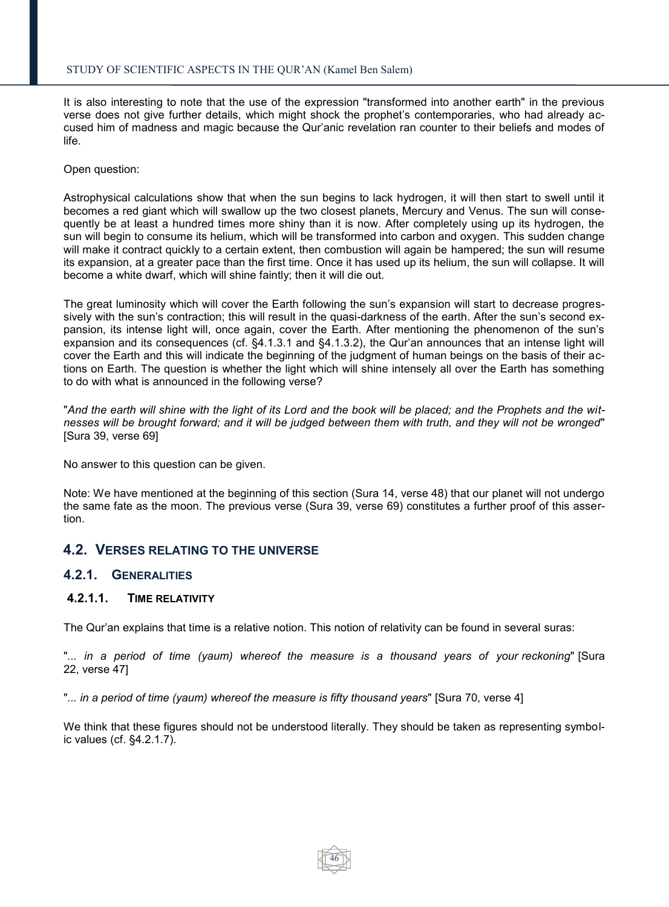It is also interesting to note that the use of the expression "transformed into another earth" in the previous verse does not give further details, which might shock the prophet's contemporaries, who had already accused him of madness and magic because the Qur'anic revelation ran counter to their beliefs and modes of life.

Open question:

Astrophysical calculations show that when the sun begins to lack hydrogen, it will then start to swell until it becomes a red giant which will swallow up the two closest planets, Mercury and Venus. The sun will consequently be at least a hundred times more shiny than it is now. After completely using up its hydrogen, the sun will begin to consume its helium, which will be transformed into carbon and oxygen. This sudden change will make it contract quickly to a certain extent, then combustion will again be hampered; the sun will resume its expansion, at a greater pace than the first time. Once it has used up its helium, the sun will collapse. It will become a white dwarf, which will shine faintly; then it will die out.

The great luminosity which will cover the Earth following the sun's expansion will start to decrease progressively with the sun's contraction; this will result in the quasi-darkness of the earth. After the sun's second expansion, its intense light will, once again, cover the Earth. After mentioning the phenomenon of the sun's expansion and its consequences (cf. §4.1.3.1 and §4.1.3.2), the Qur'an announces that an intense light will cover the Earth and this will indicate the beginning of the judgment of human beings on the basis of their actions on Earth. The question is whether the light which will shine intensely all over the Earth has something to do with what is announced in the following verse?

"*And the earth will shine with the light of its Lord and the book will be placed; and the Prophets and the witnesses will be brought forward; and it will be judged between them with truth, and they will not be wronged*" [Sura 39, verse 69]

No answer to this question can be given.

Note: We have mentioned at the beginning of this section (Sura 14, verse 48) that our planet will not undergo the same fate as the moon. The previous verse (Sura 39, verse 69) constitutes a further proof of this assertion.

# **4.2. VERSES RELATING TO THE UNIVERSE**

# **4.2.1. GENERALITIES**

### **4.2.1.1. TIME RELATIVITY**

The Qur'an explains that time is a relative notion. This notion of relativity can be found in several suras:

"*... in a period of time (yaum) whereof the measure is a thousand years of your reckoning*" [Sura 22, verse 47]

"*... in a period of time (yaum) whereof the measure is fifty thousand years*" [Sura 70, verse 4]

We think that these figures should not be understood literally. They should be taken as representing symbolic values (cf. §4.2.1.7).

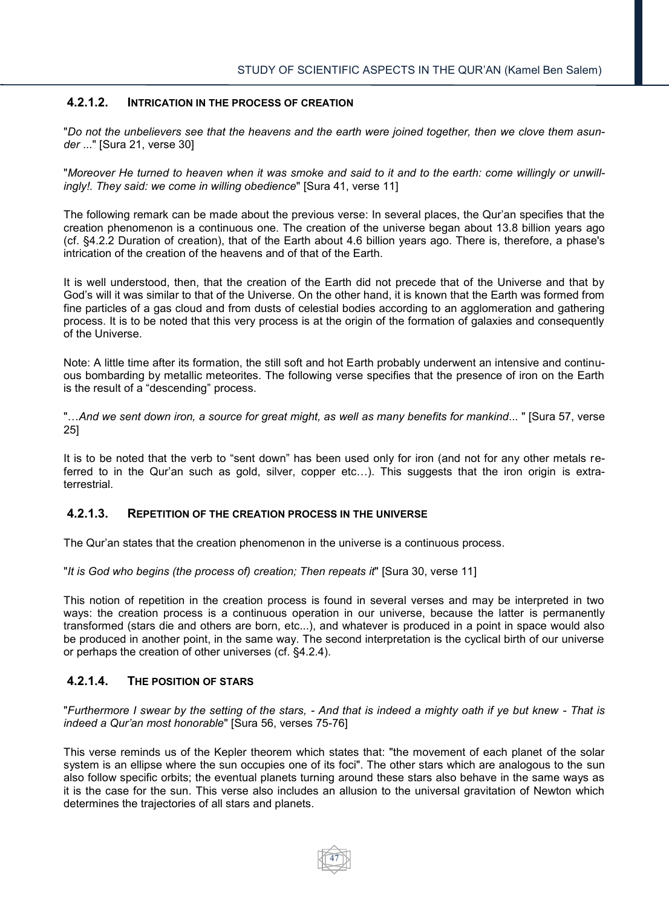# **4.2.1.2. INTRICATION IN THE PROCESS OF CREATION**

"*Do not the unbelievers see that the heavens and the earth were joined together, then we clove them asunder* ..." [Sura 21, verse 30]

"*Moreover He turned to heaven when it was smoke and said to it and to the earth: come willingly or unwillingly!. They said: we come in willing obedience*" [Sura 41, verse 11]

The following remark can be made about the previous verse: In several places, the Qur'an specifies that the creation phenomenon is a continuous one. The creation of the universe began about 13.8 billion years ago (cf. §4.2.2 Duration of creation), that of the Earth about 4.6 billion years ago. There is, therefore, a phase's intrication of the creation of the heavens and of that of the Earth.

It is well understood, then, that the creation of the Earth did not precede that of the Universe and that by God's will it was similar to that of the Universe. On the other hand, it is known that the Earth was formed from fine particles of a gas cloud and from dusts of celestial bodies according to an agglomeration and gathering process. It is to be noted that this very process is at the origin of the formation of galaxies and consequently of the Universe.

Note: A little time after its formation, the still soft and hot Earth probably underwent an intensive and continuous bombarding by metallic meteorites. The following verse specifies that the presence of iron on the Earth is the result of a "descending" process.

"…*And we sent down iron, a source for great might, as well as many benefits for mankind*... " [Sura 57, verse 25]

It is to be noted that the verb to "sent down" has been used only for iron (and not for any other metals referred to in the Qur'an such as gold, silver, copper etc...). This suggests that the iron origin is extraterrestrial.

# **4.2.1.3. REPETITION OF THE CREATION PROCESS IN THE UNIVERSE**

The Qur'an states that the creation phenomenon in the universe is a continuous process.

"*It is God who begins (the process of) creation; Then repeats it*" [Sura 30, verse 11]

This notion of repetition in the creation process is found in several verses and may be interpreted in two ways: the creation process is a continuous operation in our universe, because the latter is permanently transformed (stars die and others are born, etc...), and whatever is produced in a point in space would also be produced in another point, in the same way. The second interpretation is the cyclical birth of our universe or perhaps the creation of other universes (cf. §4.2.4).

### **4.2.1.4. THE POSITION OF STARS**

"*Furthermore I swear by the setting of the stars, - And that is indeed a mighty oath if ye but knew - That is indeed a Qur'an most honorable*" [Sura 56, verses 75-76]

This verse reminds us of the Kepler theorem which states that: "the movement of each planet of the solar system is an ellipse where the sun occupies one of its foci". The other stars which are analogous to the sun also follow specific orbits; the eventual planets turning around these stars also behave in the same ways as it is the case for the sun. This verse also includes an allusion to the universal gravitation of Newton which determines the trajectories of all stars and planets.

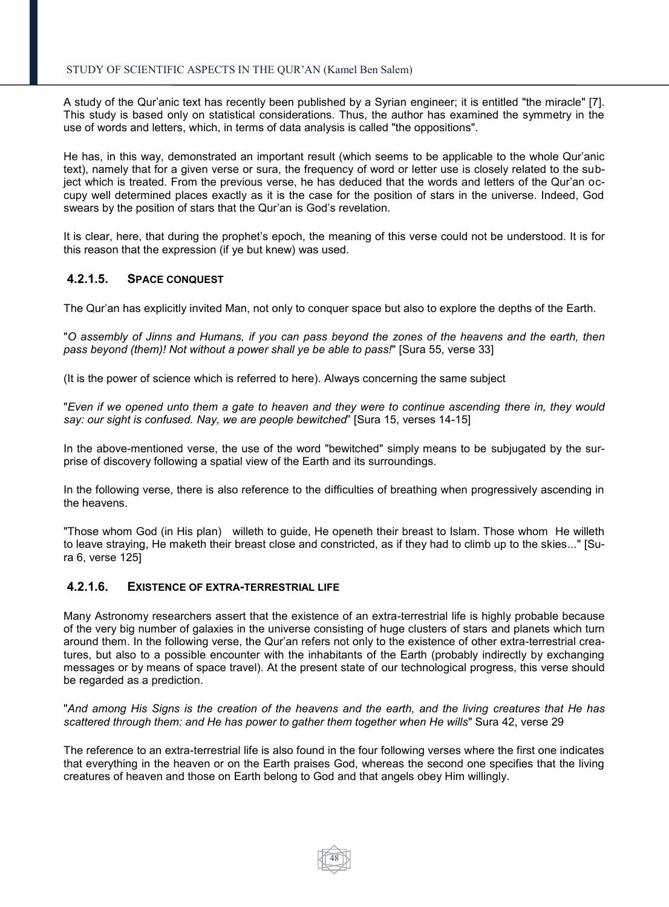A study of the Qur'anic text has recently been published by a Syrian engineer; it is entitled "the miracle" [7]. This study is based only on statistical considerations. Thus, the author has examined the symmetry in the use of words and letters, which, in terms of data analysis is called "the oppositions".

He has, in this way, demonstrated an important result (which seems to be applicable to the whole Qur'anic text), namely that for a given verse or sura, the frequency of word or letter use is closely related to the subject which is treated. From the previous verse, he has deduced that the words and letters of the Qur'an occupy well determined places exactly as it is the case for the position of stars in the universe. Indeed, God swears by the position of stars that the Qur'an is God's revelation.

It is clear, here, that during the prophet's epoch, the meaning of this verse could not be understood. It is for this reason that the expression (if ye but knew) was used.

# **4.2.1.5. SPACE CONQUEST**

The Qur'an has explicitly invited Man, not only to conquer space but also to explore the depths of the Earth.

"*O assembly of Jinns and Humans, if you can pass beyond the zones of the heavens and the earth, then pass beyond (them)! Not without a power shall ye be able to pass!*" [Sura 55, verse 33]

(It is the power of science which is referred to here). Always concerning the same subject

"*Even if we opened unto them a gate to heaven and they were to continue ascending there in, they would say: our sight is confused. Nay, we are people bewitched*" [Sura 15, verses 14-15]

In the above-mentioned verse, the use of the word "bewitched" simply means to be subjugated by the surprise of discovery following a spatial view of the Earth and its surroundings.

In the following verse, there is also reference to the difficulties of breathing when progressively ascending in the heavens.

"Those whom God (in His plan) willeth to guide, He openeth their breast to Islam. Those whom He willeth to leave straying, He maketh their breast close and constricted, as if they had to climb up to the skies*...*" [Sura 6, verse 125]

### **4.2.1.6. EXISTENCE OF EXTRA-TERRESTRIAL LIFE**

Many Astronomy researchers assert that the existence of an extra-terrestrial life is highly probable because of the very big number of galaxies in the universe consisting of huge clusters of stars and planets which turn around them. In the following verse, the Qur'an refers not only to the existence of other extra-terrestrial creatures, but also to a possible encounter with the inhabitants of the Earth (probably indirectly by exchanging messages or by means of space travel). At the present state of our technological progress, this verse should be regarded as a prediction.

"*And among His Signs is the creation of the heavens and the earth, and the living creatures that He has scattered through them: and He has power to gather them together when He wills*" Sura 42, verse 29

The reference to an extra-terrestrial life is also found in the four following verses where the first one indicates that everything in the heaven or on the Earth praises God, whereas the second one specifies that the living creatures of heaven and those on Earth belong to God and that angels obey Him willingly.

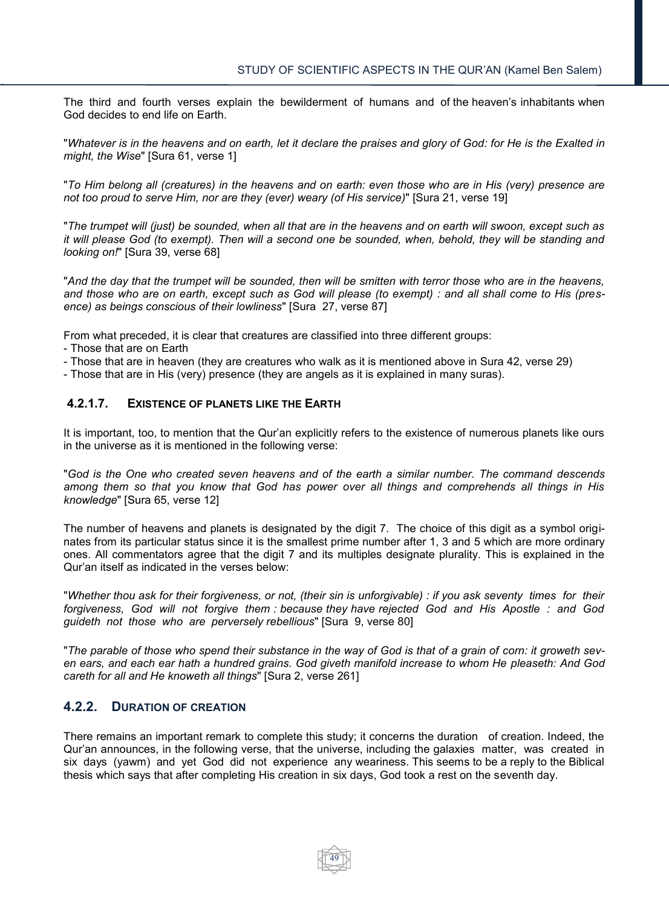The third and fourth verses explain the bewilderment of humans and of the heaven's inhabitants when God decides to end life on Earth.

"*Whatever is in the heavens and on earth, let it declare the praises and glory of God: for He is the Exalted in might, the Wise*" [Sura 61, verse 1]

"*To Him belong all (creatures) in the heavens and on earth: even those who are in His (very) presence are not too proud to serve Him, nor are they (ever) weary (of His service)*" [Sura 21, verse 19]

"*The trumpet will (just) be sounded, when all that are in the heavens and on earth will swoon, except such as it will please God (to exempt). Then will a second one be sounded, when, behold, they will be standing and looking on!*" [Sura 39, verse 68]

"*And the day that the trumpet will be sounded, then will be smitten with terror those who are in the heavens, and those who are on earth, except such as God will please (to exempt) : and all shall come to His (presence) as beings conscious of their lowliness*" [Sura 27, verse 87]

From what preceded, it is clear that creatures are classified into three different groups:

- Those that are on Earth

- Those that are in heaven (they are creatures who walk as it is mentioned above in Sura 42, verse 29)
- Those that are in His (very) presence (they are angels as it is explained in many suras).

# **4.2.1.7. EXISTENCE OF PLANETS LIKE THE EARTH**

It is important, too, to mention that the Qur'an explicitly refers to the existence of numerous planets like ours in the universe as it is mentioned in the following verse:

"*God is the One who created seven heavens and of the earth a similar number. The command descends among them so that you know that God has power over all things and comprehends all things in His knowledge*" [Sura 65, verse 12]

The number of heavens and planets is designated by the digit 7. The choice of this digit as a symbol originates from its particular status since it is the smallest prime number after 1, 3 and 5 which are more ordinary ones. All commentators agree that the digit 7 and its multiples designate plurality. This is explained in the Qur'an itself as indicated in the verses below:

"*Whether thou ask for their forgiveness, or not, (their sin is unforgivable) : if you ask seventy times for their forgiveness, God will not forgive them : because they have rejected God and His Apostle : and God guideth not those who are perversely rebellious*" [Sura 9, verse 80]

"*The parable of those who spend their substance in the way of God is that of a grain of corn: it groweth seven ears, and each ear hath a hundred grains. God giveth manifold increase to whom He pleaseth: And God careth for all and He knoweth all things*" [Sura 2, verse 261]

# **4.2.2. DURATION OF CREATION**

There remains an important remark to complete this study; it concerns the duration of creation. Indeed, the Qur'an announces, in the following verse, that the universe, including the galaxies matter, was created in six days (yawm) and yet God did not experience any weariness. This seems to be a reply to the Biblical thesis which says that after completing His creation in six days, God took a rest on the seventh day.

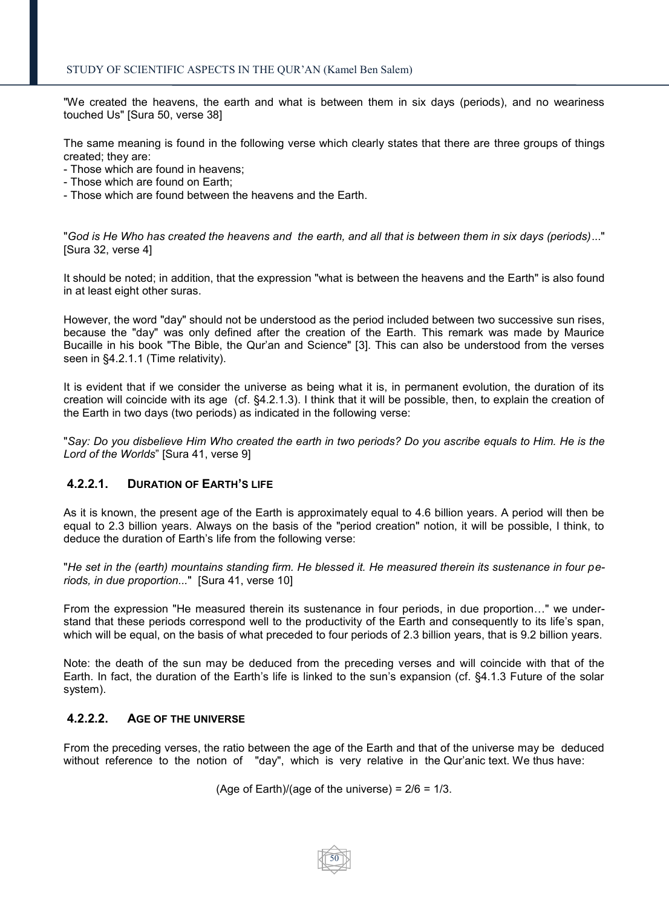"We created the heavens, the earth and what is between them in six days (periods), and no weariness touched Us" [Sura 50, verse 38]

The same meaning is found in the following verse which clearly states that there are three groups of things created; they are:

- Those which are found in heavens;
- Those which are found on Earth;
- Those which are found between the heavens and the Earth.

"*God is He Who has created the heavens and the earth, and all that is between them in six days (periods)*..." [Sura 32, verse 4]

It should be noted; in addition, that the expression "what is between the heavens and the Earth" is also found in at least eight other suras.

However, the word "day" should not be understood as the period included between two successive sun rises, because the "day" was only defined after the creation of the Earth. This remark was made by Maurice Bucaille in his book "The Bible, the Qur'an and Science" [3]. This can also be understood from the verses seen in §4.2.1.1 (Time relativity).

It is evident that if we consider the universe as being what it is, in permanent evolution, the duration of its creation will coincide with its age (cf. §4.2.1.3). I think that it will be possible, then, to explain the creation of the Earth in two days (two periods) as indicated in the following verse:

"*Say: Do you disbelieve Him Who created the earth in two periods? Do you ascribe equals to Him. He is the Lord of the Worlds*" [Sura 41, verse 9]

### **4.2.2.1. DURATION OF EARTH'S LIFE**

As it is known, the present age of the Earth is approximately equal to 4.6 billion years. A period will then be equal to 2.3 billion years. Always on the basis of the "period creation" notion, it will be possible, I think, to deduce the duration of Earth's life from the following verse:

"*He set in the (earth) mountains standing firm. He blessed it. He measured therein its sustenance in four periods, in due proportion...*" [Sura 41, verse 10]

From the expression "He measured therein its sustenance in four periods, in due proportion…" we understand that these periods correspond well to the productivity of the Earth and consequently to its life's span, which will be equal, on the basis of what preceded to four periods of 2.3 billion years, that is 9.2 billion years.

Note: the death of the sun may be deduced from the preceding verses and will coincide with that of the Earth. In fact, the duration of the Earth's life is linked to the sun's expansion (cf. §4.1.3 Future of the solar system).

### **4.2.2.2. AGE OF THE UNIVERSE**

From the preceding verses, the ratio between the age of the Earth and that of the universe may be deduced without reference to the notion of "day", which is very relative in the Qur'anic text. We thus have:

(Age of Earth)/(age of the universe) =  $2/6$  =  $1/3$ .

50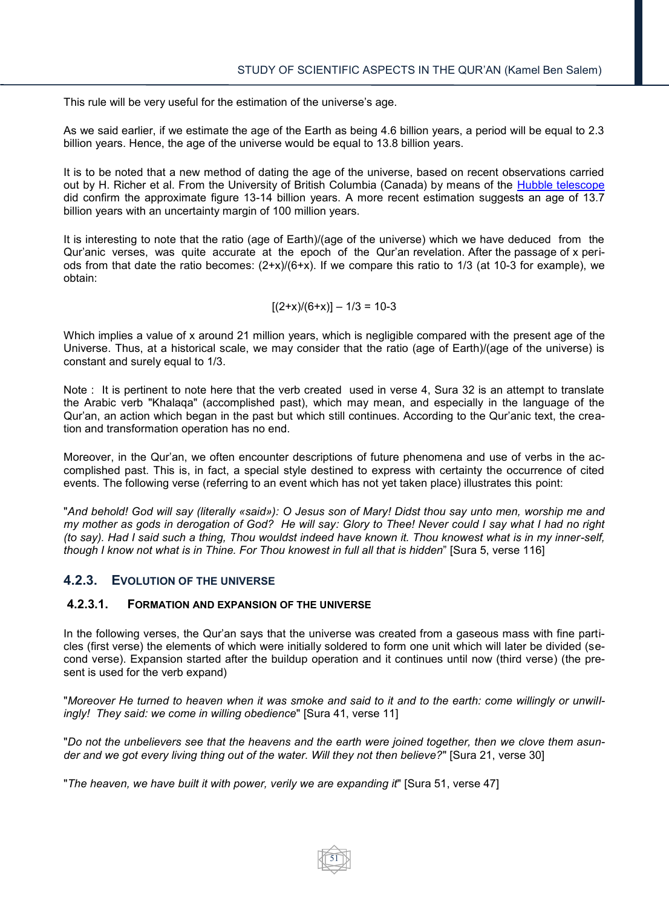This rule will be very useful for the estimation of the universe's age.

As we said earlier, if we estimate the age of the Earth as being 4.6 billion years, a period will be equal to 2.3 billion years. Hence, the age of the universe would be equal to 13.8 billion years.

It is to be noted that a new method of dating the age of the universe, based on recent observations carried out by H. Richer et al. From the University of British Columbia (Canada) by means of the [Hubble telescope](http://www.sciencedaily.com/releases/2002/04/020425072325.htm) did confirm the approximate figure 13-14 billion years. A more recent estimation suggests an age of 13.7 billion years with an uncertainty margin of 100 million years.

It is interesting to note that the ratio (age of Earth)/(age of the universe) which we have deduced from the Qur'anic verses, was quite accurate at the epoch of the Qur'an revelation. After the passage of x periods from that date the ratio becomes:  $(2+x)/(6+x)$ . If we compare this ratio to 1/3 (at 10-3 for example), we obtain:

$$
[(2+x)/(6+x)] - 1/3 = 10-3
$$

Which implies a value of x around 21 million years, which is negligible compared with the present age of the Universe. Thus, at a historical scale, we may consider that the ratio (age of Earth)/(age of the universe) is constant and surely equal to 1/3.

Note : It is pertinent to note here that the verb created used in verse 4, Sura 32 is an attempt to translate the Arabic verb "Khalaqa" (accomplished past), which may mean, and especially in the language of the Qur'an, an action which began in the past but which still continues. According to the Qur'anic text, the creation and transformation operation has no end.

Moreover, in the Qur'an, we often encounter descriptions of future phenomena and use of verbs in the accomplished past. This is, in fact, a special style destined to express with certainty the occurrence of cited events. The following verse (referring to an event which has not yet taken place) illustrates this point:

"*And behold! God will say (literally «said»): O Jesus son of Mary! Didst thou say unto men, worship me and my mother as gods in derogation of God? He will say: Glory to Thee! Never could I say what I had no right (to say). Had I said such a thing, Thou wouldst indeed have known it. Thou knowest what is in my inner-self, though I know not what is in Thine. For Thou knowest in full all that is hidden*" [Sura 5, verse 116]

# **4.2.3. EVOLUTION OF THE UNIVERSE**

### **4.2.3.1. FORMATION AND EXPANSION OF THE UNIVERSE**

In the following verses, the Qur'an says that the universe was created from a gaseous mass with fine particles (first verse) the elements of which were initially soldered to form one unit which will later be divided (second verse). Expansion started after the buildup operation and it continues until now (third verse) (the present is used for the verb expand)

"*Moreover He turned to heaven when it was smoke and said to it and to the earth: come willingly or unwillingly! They said: we come in willing obedience*" [Sura 41, verse 11]

"*Do not the unbelievers see that the heavens and the earth were joined together, then we clove them asunder and we got every living thing out of the water. Will they not then believe?*" [Sura 21, verse 30]

51

"*The heaven, we have built it with power, verily we are expanding it*" [Sura 51, verse 47]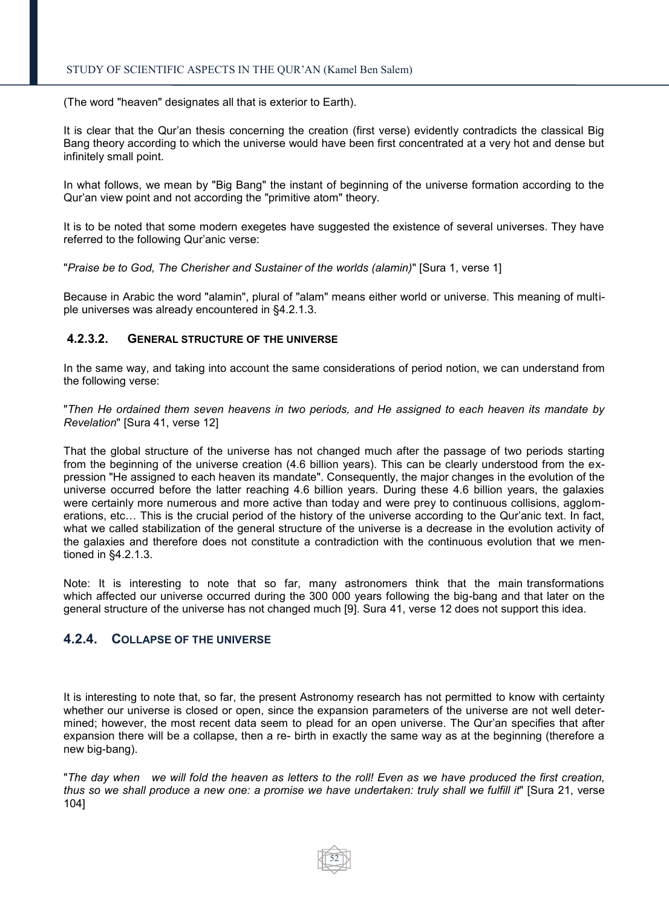(The word "heaven" designates all that is exterior to Earth).

It is clear that the Qur'an thesis concerning the creation (first verse) evidently contradicts the classical Big Bang theory according to which the universe would have been first concentrated at a very hot and dense but infinitely small point.

In what follows, we mean by "Big Bang" the instant of beginning of the universe formation according to the Qur'an view point and not according the "primitive atom" theory.

It is to be noted that some modern exegetes have suggested the existence of several universes. They have referred to the following Qur'anic verse:

"*Praise be to God, The Cherisher and Sustainer of the worlds (alamin)*" [Sura 1, verse 1]

Because in Arabic the word "alamin", plural of "alam" means either world or universe. This meaning of multiple universes was already encountered in §4.2.1.3.

### **4.2.3.2. GENERAL STRUCTURE OF THE UNIVERSE**

In the same way, and taking into account the same considerations of period notion, we can understand from the following verse:

"*Then He ordained them seven heavens in two periods, and He assigned to each heaven its mandate by Revelation*" [Sura 41, verse 12]

That the global structure of the universe has not changed much after the passage of two periods starting from the beginning of the universe creation (4.6 billion years). This can be clearly understood from the expression "He assigned to each heaven its mandate". Consequently, the major changes in the evolution of the universe occurred before the latter reaching 4.6 billion years. During these 4.6 billion years, the galaxies were certainly more numerous and more active than today and were prey to continuous collisions, agglomerations, etc… This is the crucial period of the history of the universe according to the Qur'anic text. In fact, what we called stabilization of the general structure of the universe is a decrease in the evolution activity of the galaxies and therefore does not constitute a contradiction with the continuous evolution that we mentioned in §4.2.1.3.

Note: It is interesting to note that so far, many astronomers think that the main transformations which affected our universe occurred during the 300 000 years following the big-bang and that later on the general structure of the universe has not changed much [9]. Sura 41, verse 12 does not support this idea.

# **4.2.4. COLLAPSE OF THE UNIVERSE**

It is interesting to note that, so far, the present Astronomy research has not permitted to know with certainty whether our universe is closed or open, since the expansion parameters of the universe are not well determined; however, the most recent data seem to plead for an open universe. The Qur'an specifies that after expansion there will be a collapse, then a re- birth in exactly the same way as at the beginning (therefore a new big-bang).

"*The day when we will fold the heaven as letters to the roll! Even as we have produced the first creation, thus so we shall produce a new one: a promise we have undertaken: truly shall we fulfill it*" [Sura 21, verse 104]

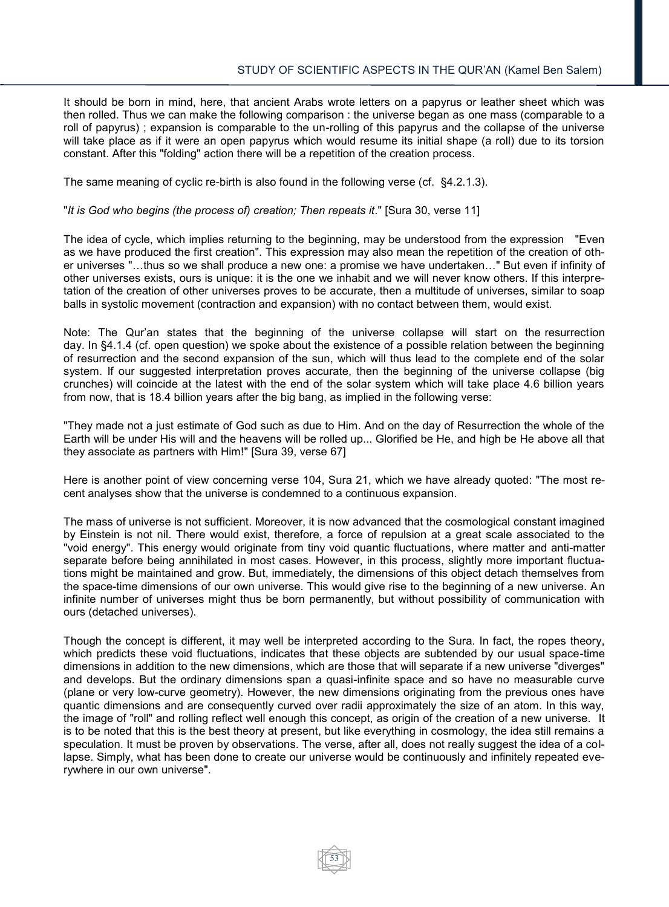It should be born in mind, here, that ancient Arabs wrote letters on a papyrus or leather sheet which was then rolled. Thus we can make the following comparison : the universe began as one mass (comparable to a roll of papyrus) ; expansion is comparable to the un-rolling of this papyrus and the collapse of the universe will take place as if it were an open papyrus which would resume its initial shape (a roll) due to its torsion constant. After this "folding" action there will be a repetition of the creation process.

The same meaning of cyclic re-birth is also found in the following verse (cf. §4.2.1.3).

#### "*It is God who begins (the process of) creation; Then repeats it*." [Sura 30, verse 11]

The idea of cycle, which implies returning to the beginning, may be understood from the expression "Even as we have produced the first creation". This expression may also mean the repetition of the creation of other universes "…thus so we shall produce a new one: a promise we have undertaken…" But even if infinity of other universes exists, ours is unique: it is the one we inhabit and we will never know others. If this interpretation of the creation of other universes proves to be accurate, then a multitude of universes, similar to soap balls in systolic movement (contraction and expansion) with no contact between them, would exist.

Note: The Qur'an states that the beginning of the universe collapse will start on the resurrection day. In §4.1.4 (cf. open question) we spoke about the existence of a possible relation between the beginning of resurrection and the second expansion of the sun, which will thus lead to the complete end of the solar system. If our suggested interpretation proves accurate, then the beginning of the universe collapse (big crunches) will coincide at the latest with the end of the solar system which will take place 4.6 billion years from now, that is 18.4 billion years after the big bang, as implied in the following verse:

"They made not a just estimate of God such as due to Him. And on the day of Resurrection the whole of the Earth will be under His will and the heavens will be rolled up... Glorified be He, and high be He above all that they associate as partners with Him!" [Sura 39, verse 67]

Here is another point of view concerning verse 104, Sura 21, which we have already quoted: "The most recent analyses show that the universe is condemned to a continuous expansion.

The mass of universe is not sufficient. Moreover, it is now advanced that the cosmological constant imagined by Einstein is not nil. There would exist, therefore, a force of repulsion at a great scale associated to the "void energy". This energy would originate from tiny void quantic fluctuations, where matter and anti-matter separate before being annihilated in most cases. However, in this process, slightly more important fluctuations might be maintained and grow. But, immediately, the dimensions of this object detach themselves from the space-time dimensions of our own universe. This would give rise to the beginning of a new universe. An infinite number of universes might thus be born permanently, but without possibility of communication with ours (detached universes).

Though the concept is different, it may well be interpreted according to the Sura. In fact, the ropes theory, which predicts these void fluctuations, indicates that these objects are subtended by our usual space-time dimensions in addition to the new dimensions, which are those that will separate if a new universe "diverges" and develops. But the ordinary dimensions span a quasi-infinite space and so have no measurable curve (plane or very low-curve geometry). However, the new dimensions originating from the previous ones have quantic dimensions and are consequently curved over radii approximately the size of an atom. In this way, the image of "roll" and rolling reflect well enough this concept, as origin of the creation of a new universe. It is to be noted that this is the best theory at present, but like everything in cosmology, the idea still remains a speculation. It must be proven by observations. The verse, after all, does not really suggest the idea of a collapse. Simply, what has been done to create our universe would be continuously and infinitely repeated everywhere in our own universe".

53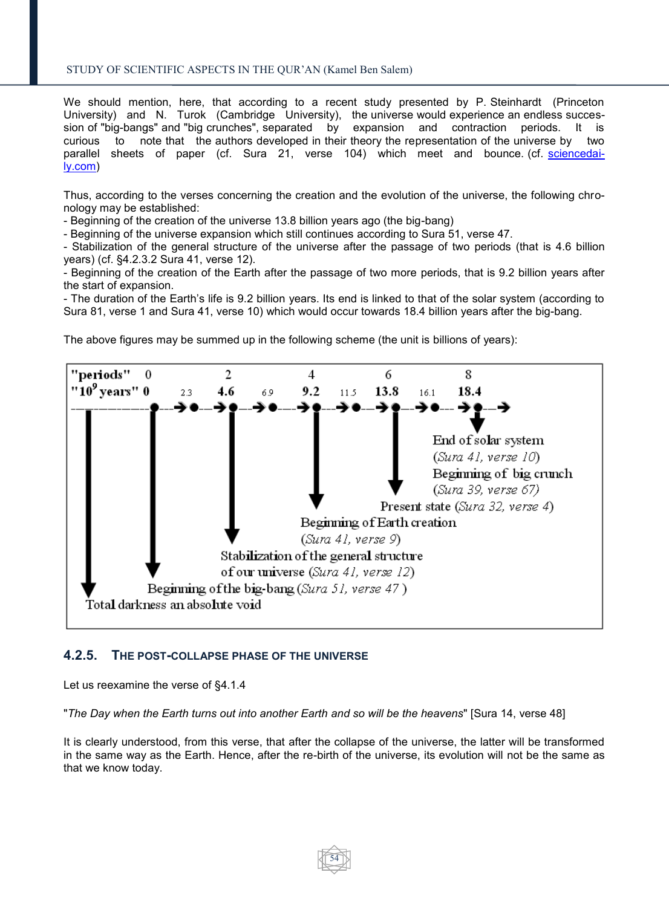We should mention, here, that according to a recent study presented by P. Steinhardt (Princeton University) and N. Turok (Cambridge University), the universe would experience an endless succession of "big-bangs" and "big crunches", separated by expansion and contraction periods. It is curious to note that the authors developed in their theory the representation of the universe by two parallel sheets of paper (cf. Sura 21, verse 104) which meet and bounce. (cf. [sciencedai](http://www.sciencedaily.com/releases/2002/04/020429080540.htm)[ly.com\)](http://www.sciencedaily.com/releases/2002/04/020429080540.htm)

Thus, according to the verses concerning the creation and the evolution of the universe, the following chronology may be established:

- Beginning of the creation of the universe 13.8 billion years ago (the big-bang)

- Beginning of the universe expansion which still continues according to Sura 51, verse 47.

- Stabilization of the general structure of the universe after the passage of two periods (that is 4.6 billion years) (cf. §4.2.3.2 Sura 41, verse 12).

- Beginning of the creation of the Earth after the passage of two more periods, that is 9.2 billion years after the start of expansion.

- The duration of the Earth's life is 9.2 billion years. Its end is linked to that of the solar system (according to Sura 81, verse 1 and Sura 41, verse 10) which would occur towards 18.4 billion years after the big-bang.

The above figures may be summed up in the following scheme (the unit is billions of years):



# **4.2.5. THE POST-COLLAPSE PHASE OF THE UNIVERSE**

Let us reexamine the verse of §4.1.4

"*The Day when the Earth turns out into another Earth and so will be the heavens*" [Sura 14, verse 48]

It is clearly understood, from this verse, that after the collapse of the universe, the latter will be transformed in the same way as the Earth. Hence, after the re-birth of the universe, its evolution will not be the same as that we know today.

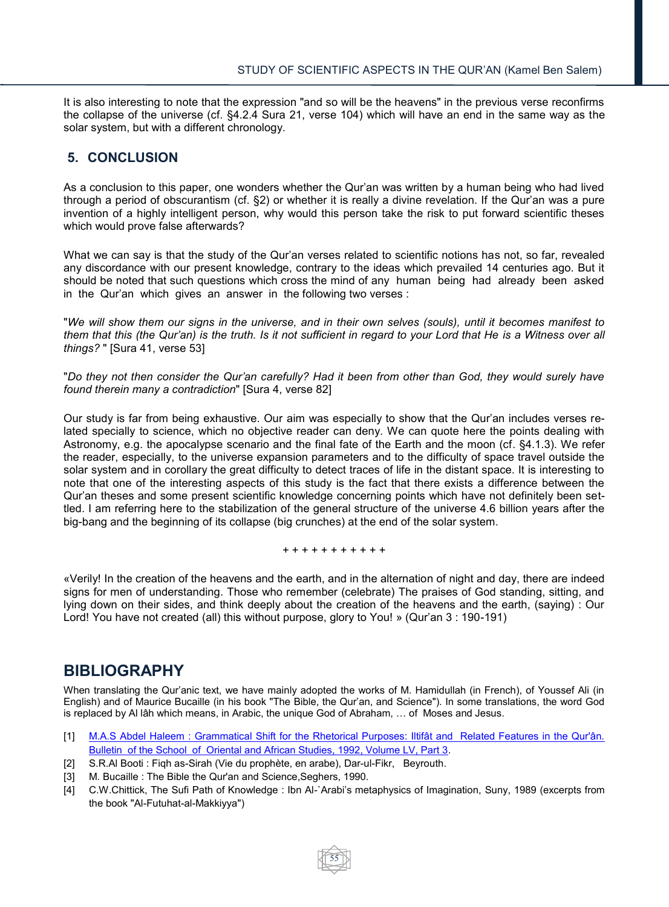It is also interesting to note that the expression "and so will be the heavens" in the previous verse reconfirms the collapse of the universe (cf. §4.2.4 Sura 21, verse 104) which will have an end in the same way as the solar system, but with a different chronology.

# **5. CONCLUSION**

As a conclusion to this paper, one wonders whether the Qur'an was written by a human being who had lived through a period of obscurantism (cf. §2) or whether it is really a divine revelation. If the Qur'an was a pure invention of a highly intelligent person, why would this person take the risk to put forward scientific theses which would prove false afterwards?

What we can say is that the study of the Qur'an verses related to scientific notions has not, so far, revealed any discordance with our present knowledge, contrary to the ideas which prevailed 14 centuries ago. But it should be noted that such questions which cross the mind of any human being had already been asked in the Qur'an which gives an answer in the following two verses :

"*We will show them our signs in the universe, and in their own selves (souls), until it becomes manifest to them that this (the Qur'an) is the truth. Is it not sufficient in regard to your Lord that He is a Witness over all things?* " [Sura 41, verse 53]

"*Do they not then consider the Qur'an carefully? Had it been from other than God, they would surely have found therein many a contradiction*" [Sura 4, verse 82]

Our study is far from being exhaustive. Our aim was especially to show that the Qur'an includes verses related specially to science, which no objective reader can deny. We can quote here the points dealing with Astronomy, e.g. the apocalypse scenario and the final fate of the Earth and the moon (cf. §4.1.3). We refer the reader, especially, to the universe expansion parameters and to the difficulty of space travel outside the solar system and in corollary the great difficulty to detect traces of life in the distant space. It is interesting to note that one of the interesting aspects of this study is the fact that there exists a difference between the Qur'an theses and some present scientific knowledge concerning points which have not definitely been settled. I am referring here to the stabilization of the general structure of the universe 4.6 billion years after the big-bang and the beginning of its collapse (big crunches) at the end of the solar system.

+ + + + + + + + + + +

«Verily! In the creation of the heavens and the earth, and in the alternation of night and day, there are indeed signs for men of understanding. Those who remember (celebrate) The praises of God standing, sitting, and lying down on their sides, and think deeply about the creation of the heavens and the earth, (saying) : Our Lord! You have not created (all) this without purpose, glory to You! » (Qur'an 3 : 190-191)

# **BIBLIOGRAPHY**

When translating the Qur'anic text, we have mainly adopted the works of M. Hamidullah (in French), of Youssef Ali (in English) and of Maurice Bucaille (in his book "The Bible, the Qur'an, and Science"). In some translations, the word God is replaced by Al lâh which means, in Arabic, the unique God of Abraham, … of Moses and Jesus.

- [1] M.A.S Abdel Haleem : Grammatical Shift for the Rhetorical Purposes: Iltifât and Related Features in the Qur'ân. [Bulletin of the School of Oriental and African Studies, 1992, Volume LV, Part 3.](http://www.islamic-awareness.org/Quran/Text/Grammar/iltifaat.html)
- [2] S.R.Al Booti : Fiqh as-Sirah (Vie du prophète, en arabe), Dar-ul-Fikr, Beyrouth.
- [3] M. Bucaille : The Bible the Qur'an and Science, Seghers, 1990.
- [4] C.W.Chittick, The Sufi Path of Knowledge : Ibn Al-`Arabi's metaphysics of Imagination, Suny, 1989 (excerpts from the book "Al-Futuhat-al-Makkiyya")

55